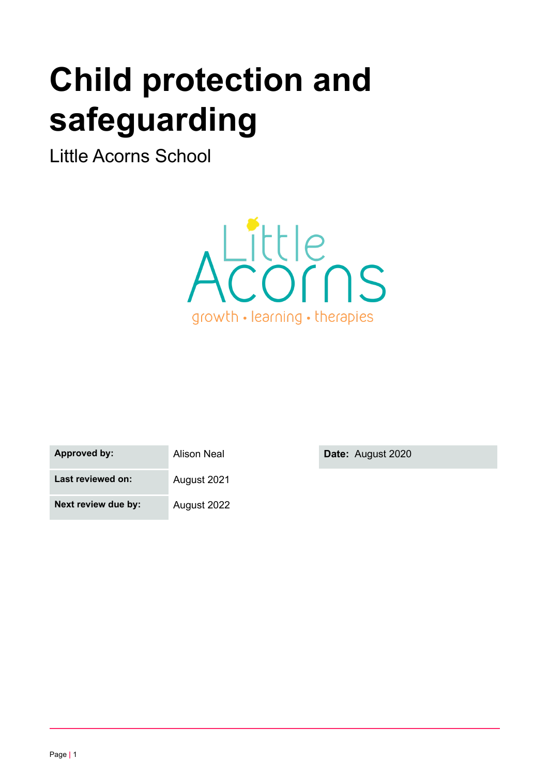# **Child protection and safeguarding**

Little Acorns School



| Approved by:      | Alison Neal |
|-------------------|-------------|
| Last reviewed on: | August 2021 |

**Next review due by:** August 2022

**by: by: Date:** August 2020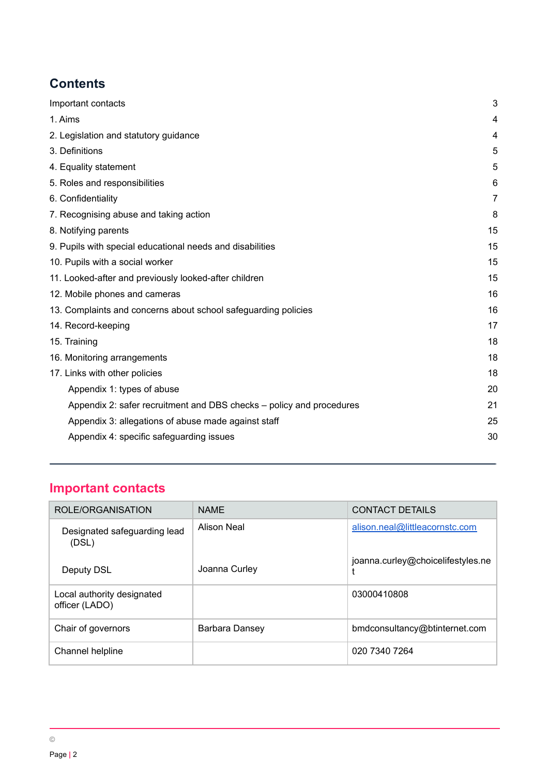# **Contents**

| Important contacts                                                   |                |
|----------------------------------------------------------------------|----------------|
| 1. Aims                                                              | 4              |
| 2. Legislation and statutory guidance                                | 4              |
| 3. Definitions                                                       | 5              |
| 4. Equality statement                                                | 5              |
| 5. Roles and responsibilities                                        | 6              |
| 6. Confidentiality                                                   | $\overline{7}$ |
| 7. Recognising abuse and taking action                               | 8              |
| 8. Notifying parents                                                 | 15             |
| 9. Pupils with special educational needs and disabilities            | 15             |
| 10. Pupils with a social worker                                      | 15             |
| 11. Looked-after and previously looked-after children                | 15             |
| 12. Mobile phones and cameras                                        | 16             |
| 13. Complaints and concerns about school safeguarding policies       | 16             |
| 14. Record-keeping                                                   | 17             |
| 15. Training                                                         | 18             |
| 16. Monitoring arrangements                                          | 18             |
| 17. Links with other policies                                        | 18             |
| Appendix 1: types of abuse                                           | 20             |
| Appendix 2: safer recruitment and DBS checks – policy and procedures | 21             |
| Appendix 3: allegations of abuse made against staff                  | 25             |
| Appendix 4: specific safeguarding issues                             | 30             |
|                                                                      |                |

# <span id="page-1-0"></span>**Important contacts**

| ROLE/ORGANISATION                            | <b>NAMF</b>        | <b>CONTACT DETAILS</b>            |
|----------------------------------------------|--------------------|-----------------------------------|
| Designated safeguarding lead<br>(DSL)        | <b>Alison Neal</b> | alison.neal@littleacornstc.com    |
| Deputy DSL                                   | Joanna Curley      | joanna.curley@choicelifestyles.ne |
| Local authority designated<br>officer (LADO) |                    | 03000410808                       |
| Chair of governors                           | Barbara Dansey     | bmdconsultancy@btinternet.com     |
| Channel helpline                             |                    | 020 7340 7264                     |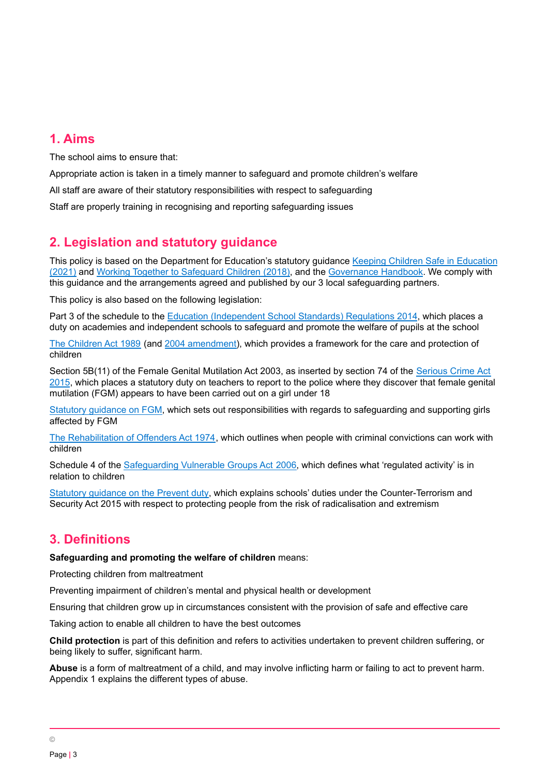# <span id="page-2-0"></span>**1. Aims**

The school aims to ensure that:

Appropriate action is taken in a timely manner to safeguard and promote children's welfare All staff are aware of their statutory responsibilities with respect to safeguarding Staff are properly training in recognising and reporting safeguarding issues

# <span id="page-2-1"></span>**2. Legislation and statutory guidance**

This policy is based on the Department for Education's statutory guidance Keeping Children Safe in [Education](https://www.gov.uk/government/publications/keeping-children-safe-in-education--2) [\(2021\)](https://www.gov.uk/government/publications/keeping-children-safe-in-education--2) and Working Together to [Safeguard](https://www.gov.uk/government/publications/working-together-to-safeguard-children--2) Children (2018), and the [Governance](https://www.gov.uk/government/publications/governance-handbook) Handbook. We comply with this guidance and the arrangements agreed and published by our 3 local safeguarding partners.

This policy is also based on the following legislation:

Part 3 of the schedule to the Education [\(Independent](http://www.legislation.gov.uk/uksi/2014/3283/schedule/part/3/made) School Standards) Regulations 2014, which places a duty on academies and independent schools to safeguard and promote the welfare of pupils at the school

The [Children](http://www.legislation.gov.uk/ukpga/1989/41) Act 1989 (and 2004 [amendment\)](http://www.legislation.gov.uk/ukpga/2004/31/contents), which provides a framework for the care and protection of children

Section 5B(11) of the Female Genital Mutilation Act 2003, as inserted by section 74 of the [Serious](http://www.legislation.gov.uk/ukpga/2015/9/part/5/crossheading/female-genital-mutilation) Crime Act [2015](http://www.legislation.gov.uk/ukpga/2015/9/part/5/crossheading/female-genital-mutilation), which places a statutory duty on teachers to report to the police where they discover that female genital mutilation (FGM) appears to have been carried out on a girl under 18

Statutory [guidance](https://www.gov.uk/government/publications/multi-agency-statutory-guidance-on-female-genital-mutilation) on FGM, which sets out responsibilities with regards to safeguarding and supporting girls affected by FGM

The [Rehabilitation](http://www.legislation.gov.uk/ukpga/1974/53) of Offenders Act 1974, which outlines when people with criminal convictions can work with children

Schedule 4 of the [Safeguarding](http://www.legislation.gov.uk/ukpga/2006/47/schedule/4) Vulnerable Groups Act 2006, which defines what 'regulated activity' is in relation to children

Statutory [guidance](https://www.gov.uk/government/publications/prevent-duty-guidance) on the Prevent duty, which explains schools' duties under the Counter-Terrorism and Security Act 2015 with respect to protecting people from the risk of radicalisation and extremism

# <span id="page-2-2"></span>**3. Definitions**

#### **Safeguarding and promoting the welfare of children** means:

Protecting children from maltreatment

Preventing impairment of children's mental and physical health or development

Ensuring that children grow up in circumstances consistent with the provision of safe and effective care

Taking action to enable all children to have the best outcomes

**Child protection** is part of this definition and refers to activities undertaken to prevent children suffering, or being likely to suffer, significant harm.

**Abuse** is a form of maltreatment of a child, and may involve inflicting harm or failing to act to prevent harm. Appendix 1 explains the different types of abuse.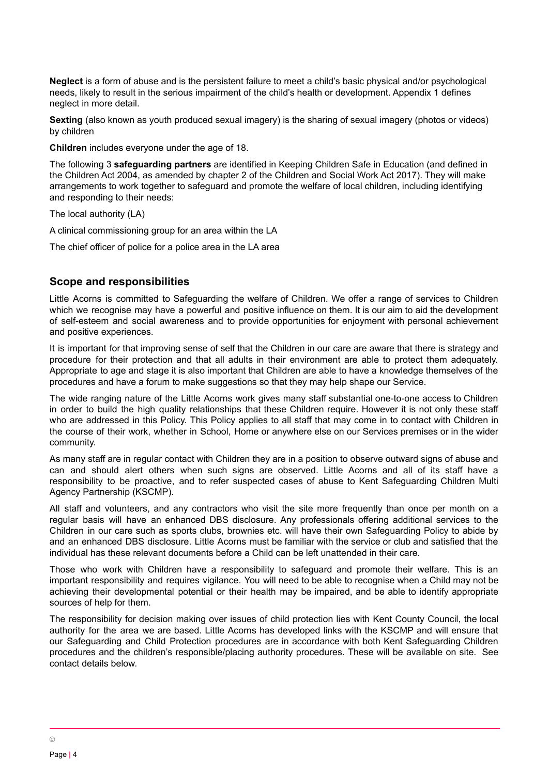**Neglect** is a form of abuse and is the persistent failure to meet a child's basic physical and/or psychological needs, likely to result in the serious impairment of the child's health or development. Appendix 1 defines neglect in more detail.

**Sexting** (also known as youth produced sexual imagery) is the sharing of sexual imagery (photos or videos) by children

**Children** includes everyone under the age of 18.

The following 3 **safeguarding partners** are identified in Keeping Children Safe in Education (and defined in the Children Act 2004, as amended by chapter 2 of the Children and Social Work Act 2017). They will make arrangements to work together to safeguard and promote the welfare of local children, including identifying and responding to their needs:

The local authority (LA)

A clinical commissioning group for an area within the LA

The chief officer of police for a police area in the LA area

## **Scope and responsibilities**

Little Acorns is committed to Safeguarding the welfare of Children. We offer a range of services to Children which we recognise may have a powerful and positive influence on them. It is our aim to aid the development of self-esteem and social awareness and to provide opportunities for enjoyment with personal achievement and positive experiences.

It is important for that improving sense of self that the Children in our care are aware that there is strategy and procedure for their protection and that all adults in their environment are able to protect them adequately. Appropriate to age and stage it is also important that Children are able to have a knowledge themselves of the procedures and have a forum to make suggestions so that they may help shape our Service.

The wide ranging nature of the Little Acorns work gives many staff substantial one-to-one access to Children in order to build the high quality relationships that these Children require. However it is not only these staff who are addressed in this Policy. This Policy applies to all staff that may come in to contact with Children in the course of their work, whether in School, Home or anywhere else on our Services premises or in the wider community.

As many staff are in regular contact with Children they are in a position to observe outward signs of abuse and can and should alert others when such signs are observed. Little Acorns and all of its staff have a responsibility to be proactive, and to refer suspected cases of abuse to Kent Safeguarding Children Multi Agency Partnership (KSCMP).

All staff and volunteers, and any contractors who visit the site more frequently than once per month on a regular basis will have an enhanced DBS disclosure. Any professionals offering additional services to the Children in our care such as sports clubs, brownies etc. will have their own Safeguarding Policy to abide by and an enhanced DBS disclosure. Little Acorns must be familiar with the service or club and satisfied that the individual has these relevant documents before a Child can be left unattended in their care.

Those who work with Children have a responsibility to safeguard and promote their welfare. This is an important responsibility and requires vigilance. You will need to be able to recognise when a Child may not be achieving their developmental potential or their health may be impaired, and be able to identify appropriate sources of help for them.

The responsibility for decision making over issues of child protection lies with Kent County Council, the local authority for the area we are based. Little Acorns has developed links with the KSCMP and will ensure that our Safeguarding and Child Protection procedures are in accordance with both Kent Safeguarding Children procedures and the children's responsible/placing authority procedures. These will be available on site. See contact details below.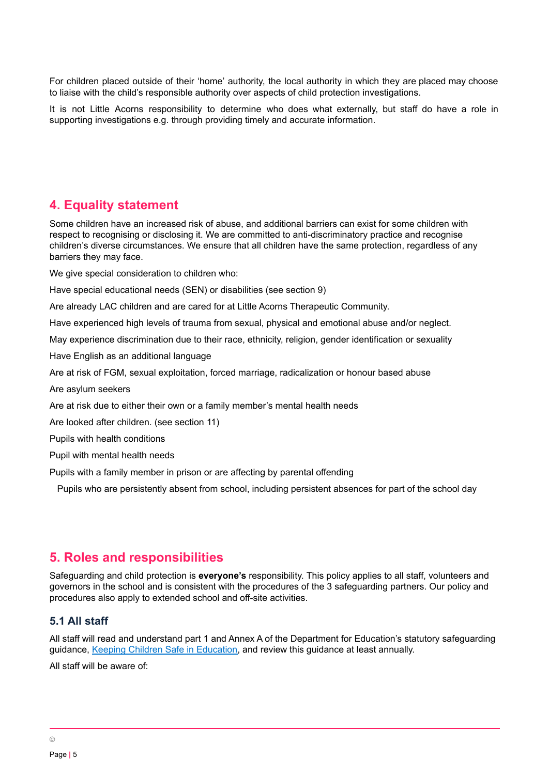For children placed outside of their 'home' authority, the local authority in which they are placed may choose to liaise with the child's responsible authority over aspects of child protection investigations.

It is not Little Acorns responsibility to determine who does what externally, but staff do have a role in supporting investigations e.g. through providing timely and accurate information.

# <span id="page-4-0"></span>**4. Equality statement**

Some children have an increased risk of abuse, and additional barriers can exist for some children with respect to recognising or disclosing it. We are committed to anti-discriminatory practice and recognise children's diverse circumstances. We ensure that all children have the same protection, regardless of any barriers they may face.

We give special consideration to children who:

Have special educational needs (SEN) or disabilities (see section 9)

Are already LAC children and are cared for at Little Acorns Therapeutic Community.

Have experienced high levels of trauma from sexual, physical and emotional abuse and/or neglect.

May experience discrimination due to their race, ethnicity, religion, gender identification or sexuality

Have English as an additional language

Are at risk of FGM, sexual exploitation, forced marriage, radicalization or honour based abuse

Are asylum seekers

Are at risk due to either their own or a family member's mental health needs

Are looked after children. (see section 11)

Pupils with health conditions

Pupil with mental health needs

Pupils with a family member in prison or are affecting by parental offending

Pupils who are persistently absent from school, including persistent absences for part of the school day

# <span id="page-4-1"></span>**5. Roles and responsibilities**

Safeguarding and child protection is **everyone's** responsibility. This policy applies to all staff, volunteers and governors in the school and is consistent with the procedures of the 3 safeguarding partners. Our policy and procedures also apply to extended school and off-site activities.

#### **5.1 All staff**

All staff will read and understand part 1 and Annex A of the Department for Education's statutory safeguarding guidance, Keeping Children Safe in [Education,](https://www.gov.uk/government/publications/keeping-children-safe-in-education--2) and review this guidance at least annually.

All staff will be aware of: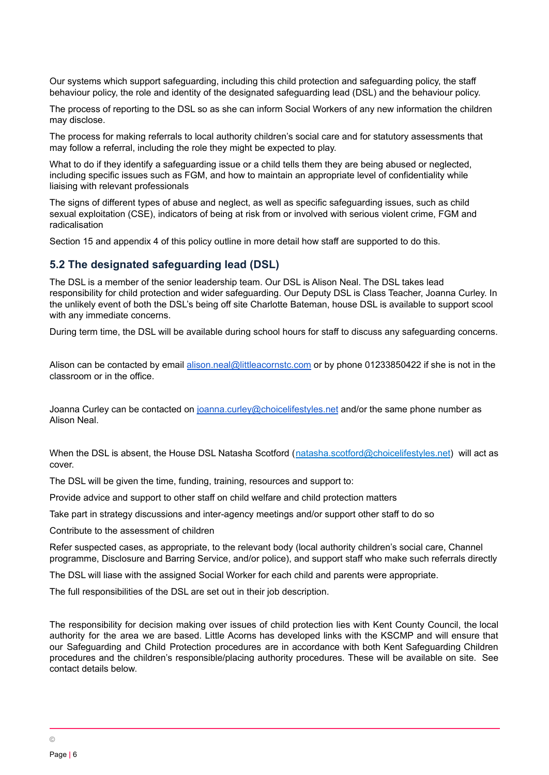Our systems which support safeguarding, including this child protection and safeguarding policy, the staff behaviour policy, the role and identity of the designated safeguarding lead (DSL) and the behaviour policy.

The process of reporting to the DSL so as she can inform Social Workers of any new information the children may disclose.

The process for making referrals to local authority children's social care and for statutory assessments that may follow a referral, including the role they might be expected to play.

What to do if they identify a safeguarding issue or a child tells them they are being abused or neglected, including specific issues such as FGM, and how to maintain an appropriate level of confidentiality while liaising with relevant professionals

The signs of different types of abuse and neglect, as well as specific safeguarding issues, such as child sexual exploitation (CSE), indicators of being at risk from or involved with serious violent crime, FGM and radicalisation

Section 15 and appendix 4 of this policy outline in more detail how staff are supported to do this.

#### **5.2 The designated safeguarding lead (DSL)**

The DSL is a member of the senior leadership team. Our DSL is Alison Neal. The DSL takes lead responsibility for child protection and wider safeguarding. Our Deputy DSL is Class Teacher, Joanna Curley. In the unlikely event of both the DSL's being off site Charlotte Bateman, house DSL is available to support scool with any immediate concerns.

During term time, the DSL will be available during school hours for staff to discuss any safeguarding concerns.

Alison can be contacted by email [alison.neal@littleacornstc.com](mailto:alison.neal@littleacornstc.com) or by phone 01233850422 if she is not in the classroom or in the office.

Joanna Curley can be contacted on [joanna.curley@choicelifestyles.net](mailto:joanna.curley@choicelifestyles.net) and/or the same phone number as Alison Neal.

When the DSL is absent, the House DSL Natasha Scotford ([natasha.scotford@choicelifestyles.net](mailto:natasha.scotford@choicelifestyles.net)) will act as cover.

The DSL will be given the time, funding, training, resources and support to:

Provide advice and support to other staff on child welfare and child protection matters

Take part in strategy discussions and inter-agency meetings and/or support other staff to do so

Contribute to the assessment of children

Refer suspected cases, as appropriate, to the relevant body (local authority children's social care, Channel programme, Disclosure and Barring Service, and/or police), and support staff who make such referrals directly

The DSL will liase with the assigned Social Worker for each child and parents were appropriate.

The full responsibilities of the DSL are set out in their job description.

The responsibility for decision making over issues of child protection lies with Kent County Council, the local authority for the area we are based. Little Acorns has developed links with the KSCMP and will ensure that our Safeguarding and Child Protection procedures are in accordance with both Kent Safeguarding Children procedures and the children's responsible/placing authority procedures. These will be available on site. See contact details below.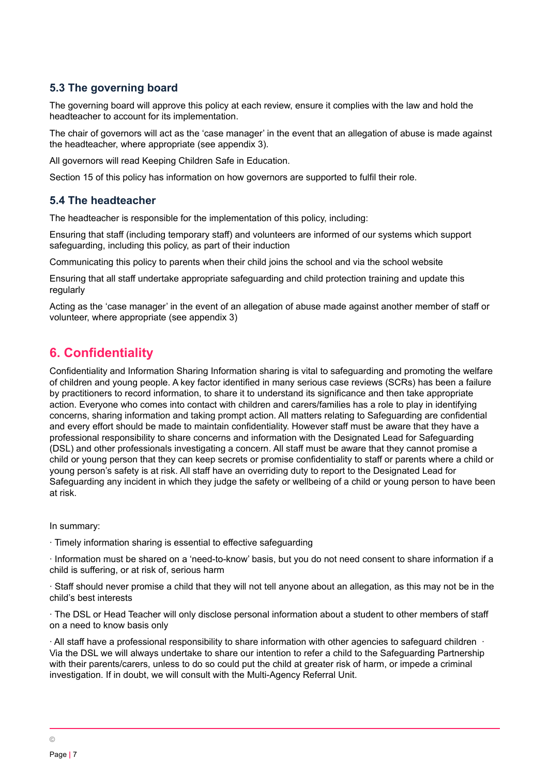# **5.3 The governing board**

The governing board will approve this policy at each review, ensure it complies with the law and hold the headteacher to account for its implementation.

The chair of governors will act as the 'case manager' in the event that an allegation of abuse is made against the headteacher, where appropriate (see appendix 3).

All governors will read Keeping Children Safe in Education.

Section 15 of this policy has information on how governors are supported to fulfil their role.

## **5.4 The headteacher**

The headteacher is responsible for the implementation of this policy, including:

Ensuring that staff (including temporary staff) and volunteers are informed of our systems which support safeguarding, including this policy, as part of their induction

Communicating this policy to parents when their child joins the school and via the school website

Ensuring that all staff undertake appropriate safeguarding and child protection training and update this regularly

Acting as the 'case manager' in the event of an allegation of abuse made against another member of staff or volunteer, where appropriate (see appendix 3)

# <span id="page-6-0"></span>**6. Confidentiality**

Confidentiality and Information Sharing Information sharing is vital to safeguarding and promoting the welfare of children and young people. A key factor identified in many serious case reviews (SCRs) has been a failure by practitioners to record information, to share it to understand its significance and then take appropriate action. Everyone who comes into contact with children and carers/families has a role to play in identifying concerns, sharing information and taking prompt action. All matters relating to Safeguarding are confidential and every effort should be made to maintain confidentiality. However staff must be aware that they have a professional responsibility to share concerns and information with the Designated Lead for Safeguarding (DSL) and other professionals investigating a concern. All staff must be aware that they cannot promise a child or young person that they can keep secrets or promise confidentiality to staff or parents where a child or young person's safety is at risk. All staff have an overriding duty to report to the Designated Lead for Safeguarding any incident in which they judge the safety or wellbeing of a child or young person to have been at risk.

In summary:

∙ Timely information sharing is essential to effective safeguarding

∙ Information must be shared on a 'need-to-know' basis, but you do not need consent to share information if a child is suffering, or at risk of, serious harm

∙ Staff should never promise a child that they will not tell anyone about an allegation, as this may not be in the child's best interests

∙ The DSL or Head Teacher will only disclose personal information about a student to other members of staff on a need to know basis only

∙ All staff have a professional responsibility to share information with other agencies to safeguard children ∙ Via the DSL we will always undertake to share our intention to refer a child to the Safeguarding Partnership with their parents/carers, unless to do so could put the child at greater risk of harm, or impede a criminal investigation. If in doubt, we will consult with the Multi-Agency Referral Unit.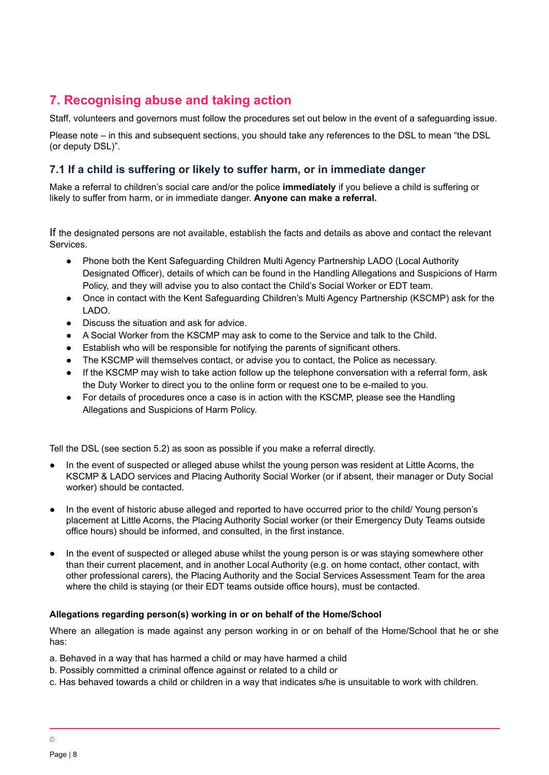# <span id="page-7-0"></span>**7. Recognising abuse and taking action**

Staff, volunteers and governors must follow the procedures set out below in the event of a safeguarding issue.

Please note – in this and subsequent sections, you should take any references to the DSL to mean "the DSL (or deputy DSL)".

# **7.1 If a child is suffering or likely to suffer harm, or in immediate danger**

Make a referral to children's social care and/or the police **immediately** if you believe a child is suffering or likely to suffer from harm, or in immediate danger. **Anyone can make a referral.**

If the designated persons are not available, establish the facts and details as above and contact the relevant Services.

- Phone both the Kent Safeguarding Children Multi Agency Partnership LADO (Local Authority Designated Officer), details of which can be found in the Handling Allegations and Suspicions of Harm Policy, and they will advise you to also contact the Child's Social Worker or EDT team.
- Once in contact with the Kent Safeguarding Children's Multi Agency Partnership (KSCMP) ask for the LADO.
- Discuss the situation and ask for advice.
- A Social Worker from the KSCMP may ask to come to the Service and talk to the Child.
- Establish who will be responsible for notifying the parents of significant others.
- The KSCMP will themselves contact, or advise you to contact, the Police as necessary.
- If the KSCMP may wish to take action follow up the telephone conversation with a referral form, ask the Duty Worker to direct you to the online form or request one to be e-mailed to you.
- For details of procedures once a case is in action with the KSCMP, please see the Handling Allegations and Suspicions of Harm Policy.

Tell the DSL (see section 5.2) as soon as possible if you make a referral directly.

- In the event of suspected or alleged abuse whilst the young person was resident at Little Acorns, the KSCMP & LADO services and Placing Authority Social Worker (or if absent, their manager or Duty Social worker) should be contacted.
- In the event of historic abuse alleged and reported to have occurred prior to the child/ Young person's placement at Little Acorns, the Placing Authority Social worker (or their Emergency Duty Teams outside office hours) should be informed, and consulted, in the first instance.
- In the event of suspected or alleged abuse whilst the young person is or was staying somewhere other than their current placement, and in another Local Authority (e.g. on home contact, other contact, with other professional carers), the Placing Authority and the Social Services Assessment Team for the area where the child is staying (or their EDT teams outside office hours), must be contacted.

#### **Allegations regarding person(s) working in or on behalf of the Home/School**

Where an allegation is made against any person working in or on behalf of the Home/School that he or she has:

- a. Behaved in a way that has harmed a child or may have harmed a child
- b. Possibly committed a criminal offence against or related to a child or
- c. Has behaved towards a child or children in a way that indicates s/he is unsuitable to work with children.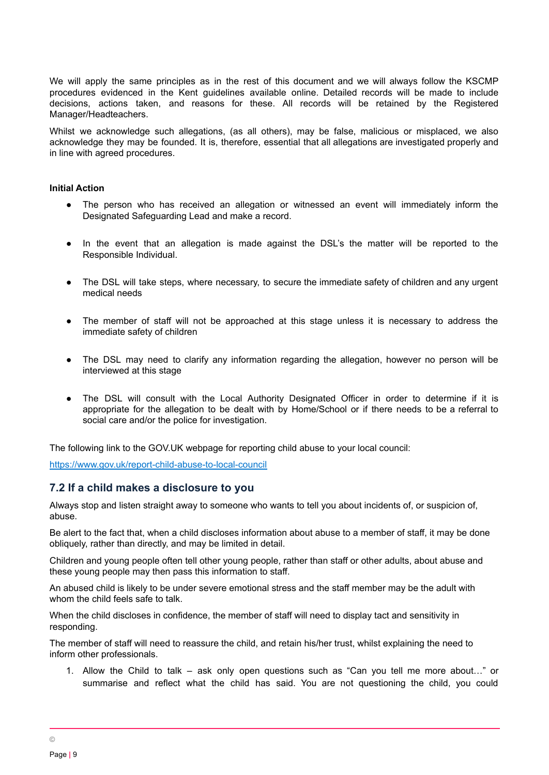We will apply the same principles as in the rest of this document and we will always follow the KSCMP procedures evidenced in the Kent guidelines available online. Detailed records will be made to include decisions, actions taken, and reasons for these. All records will be retained by the Registered Manager/Headteachers.

Whilst we acknowledge such allegations, (as all others), may be false, malicious or misplaced, we also acknowledge they may be founded. It is, therefore, essential that all allegations are investigated properly and in line with agreed procedures.

#### **Initial Action**

- The person who has received an allegation or witnessed an event will immediately inform the Designated Safeguarding Lead and make a record.
- In the event that an allegation is made against the DSL's the matter will be reported to the Responsible Individual.
- The DSL will take steps, where necessary, to secure the immediate safety of children and any urgent medical needs
- The member of staff will not be approached at this stage unless it is necessary to address the immediate safety of children
- The DSL may need to clarify any information regarding the allegation, however no person will be interviewed at this stage
- The DSL will consult with the Local Authority Designated Officer in order to determine if it is appropriate for the allegation to be dealt with by Home/School or if there needs to be a referral to social care and/or the police for investigation.

The following link to the GOV.UK webpage for reporting child abuse to your local council:

<https://www.gov.uk/report-child-abuse-to-local-council>

#### **7.2 If a child makes a disclosure to you**

Always stop and listen straight away to someone who wants to tell you about incidents of, or suspicion of, abuse.

Be alert to the fact that, when a child discloses information about abuse to a member of staff, it may be done obliquely, rather than directly, and may be limited in detail.

Children and young people often tell other young people, rather than staff or other adults, about abuse and these young people may then pass this information to staff.

An abused child is likely to be under severe emotional stress and the staff member may be the adult with whom the child feels safe to talk.

When the child discloses in confidence, the member of staff will need to display tact and sensitivity in responding.

The member of staff will need to reassure the child, and retain his/her trust, whilst explaining the need to inform other professionals.

1. Allow the Child to talk – ask only open questions such as "Can you tell me more about…" or summarise and reflect what the child has said. You are not questioning the child, you could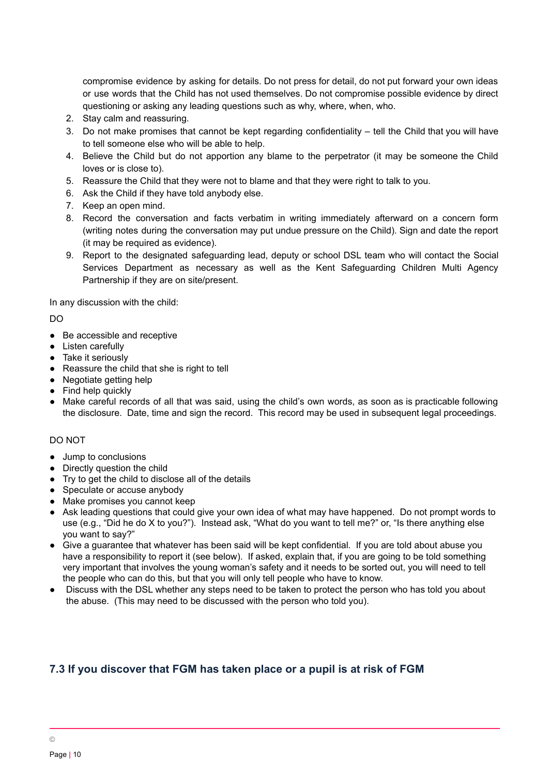compromise evidence by asking for details. Do not press for detail, do not put forward your own ideas or use words that the Child has not used themselves. Do not compromise possible evidence by direct questioning or asking any leading questions such as why, where, when, who.

- 2. Stay calm and reassuring.
- 3. Do not make promises that cannot be kept regarding confidentiality tell the Child that you will have to tell someone else who will be able to help.
- 4. Believe the Child but do not apportion any blame to the perpetrator (it may be someone the Child loves or is close to).
- 5. Reassure the Child that they were not to blame and that they were right to talk to you.
- 6. Ask the Child if they have told anybody else.
- 7. Keep an open mind.
- 8. Record the conversation and facts verbatim in writing immediately afterward on a concern form (writing notes during the conversation may put undue pressure on the Child). Sign and date the report (it may be required as evidence).
- 9. Report to the designated safeguarding lead, deputy or school DSL team who will contact the Social Services Department as necessary as well as the Kent Safeguarding Children Multi Agency Partnership if they are on site/present.

In any discussion with the child:

DO

- Be accessible and receptive
- Listen carefully
- Take it seriously
- Reassure the child that she is right to tell
- Negotiate getting help
- Find help quickly
- Make careful records of all that was said, using the child's own words, as soon as is practicable following the disclosure. Date, time and sign the record. This record may be used in subsequent legal proceedings.

#### DO NOT

- Jump to conclusions
- Directly question the child
- Try to get the child to disclose all of the details
- Speculate or accuse anybody
- Make promises you cannot keep
- Ask leading questions that could give your own idea of what may have happened. Do not prompt words to use (e.g., "Did he do X to you?"). Instead ask, "What do you want to tell me?" or, "Is there anything else you want to say?"
- Give a quarantee that whatever has been said will be kept confidential. If you are told about abuse you have a responsibility to report it (see below). If asked, explain that, if you are going to be told something very important that involves the young woman's safety and it needs to be sorted out, you will need to tell the people who can do this, but that you will only tell people who have to know.
- Discuss with the DSL whether any steps need to be taken to protect the person who has told you about the abuse. (This may need to be discussed with the person who told you).

# **7.3 If you discover that FGM has taken place or a pupil is at risk of FGM**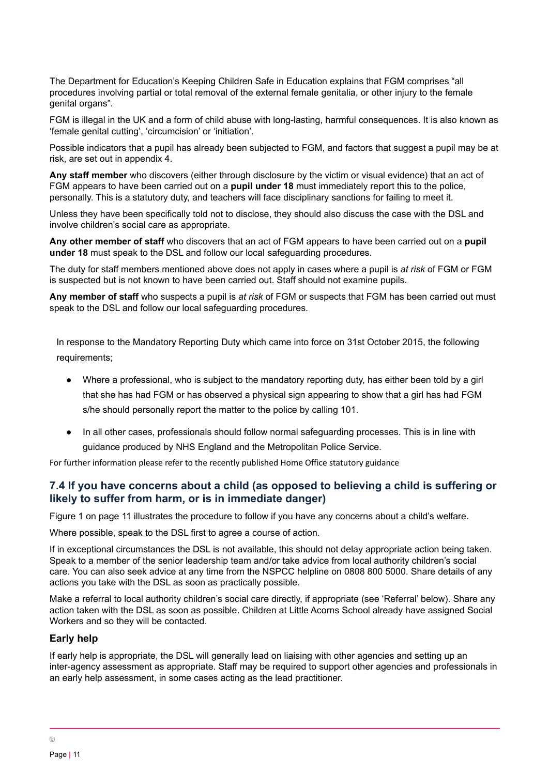The Department for Education's Keeping Children Safe in Education explains that FGM comprises "all procedures involving partial or total removal of the external female genitalia, or other injury to the female genital organs".

FGM is illegal in the UK and a form of child abuse with long-lasting, harmful consequences. It is also known as 'female genital cutting', 'circumcision' or 'initiation'.

Possible indicators that a pupil has already been subjected to FGM, and factors that suggest a pupil may be at risk, are set out in appendix 4.

**Any staff member** who discovers (either through disclosure by the victim or visual evidence) that an act of FGM appears to have been carried out on a **pupil under 18** must immediately report this to the police, personally. This is a statutory duty, and teachers will face disciplinary sanctions for failing to meet it.

Unless they have been specifically told not to disclose, they should also discuss the case with the DSL and involve children's social care as appropriate.

**Any other member of staff** who discovers that an act of FGM appears to have been carried out on a **pupil under 18** must speak to the DSL and follow our local safeguarding procedures.

The duty for staff members mentioned above does not apply in cases where a pupil is *at risk* of FGM or FGM is suspected but is not known to have been carried out. Staff should not examine pupils.

**Any member of staff** who suspects a pupil is *at risk* of FGM or suspects that FGM has been carried out must speak to the DSL and follow our local safeguarding procedures.

In response to the Mandatory Reporting Duty which came into force on 31st October 2015, the following requirements;

- Where a professional, who is subject to the mandatory reporting duty, has either been told by a girl that she has had FGM or has observed a physical sign appearing to show that a girl has had FGM s/he should personally report the matter to the police by calling 101.
- In all other cases, professionals should follow normal safequarding processes. This is in line with guidance produced by NHS England and the Metropolitan Police Service.

For further information please refer to the recently published Home Office statutory guidance

# **7.4 If you have concerns about a child (as opposed to believing a child is suffering or likely to suffer from harm, or is in immediate danger)**

Figure 1 on page 11 illustrates the procedure to follow if you have any concerns about a child's welfare.

Where possible, speak to the DSL first to agree a course of action.

If in exceptional circumstances the DSL is not available, this should not delay appropriate action being taken. Speak to a member of the senior leadership team and/or take advice from local authority children's social care. You can also seek advice at any time from the NSPCC helpline on 0808 800 5000. Share details of any actions you take with the DSL as soon as practically possible.

Make a referral to local authority children's social care directly, if appropriate (see 'Referral' below). Share any action taken with the DSL as soon as possible. Children at Little Acorns School already have assigned Social Workers and so they will be contacted.

#### **Early help**

If early help is appropriate, the DSL will generally lead on liaising with other agencies and setting up an inter-agency assessment as appropriate. Staff may be required to support other agencies and professionals in an early help assessment, in some cases acting as the lead practitioner.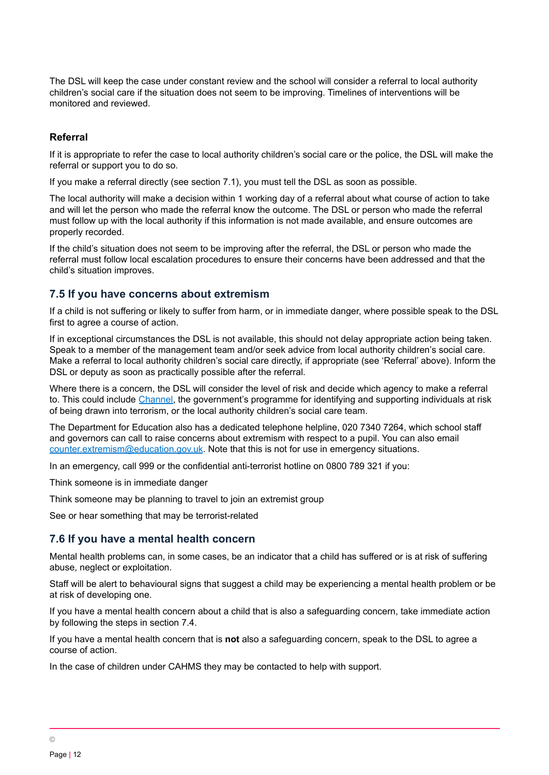The DSL will keep the case under constant review and the school will consider a referral to local authority children's social care if the situation does not seem to be improving. Timelines of interventions will be monitored and reviewed.

#### **Referral**

If it is appropriate to refer the case to local authority children's social care or the police, the DSL will make the referral or support you to do so.

If you make a referral directly (see section 7.1), you must tell the DSL as soon as possible.

The local authority will make a decision within 1 working day of a referral about what course of action to take and will let the person who made the referral know the outcome. The DSL or person who made the referral must follow up with the local authority if this information is not made available, and ensure outcomes are properly recorded.

If the child's situation does not seem to be improving after the referral, the DSL or person who made the referral must follow local escalation procedures to ensure their concerns have been addressed and that the child's situation improves.

#### **7.5 If you have concerns about extremism**

If a child is not suffering or likely to suffer from harm, or in immediate danger, where possible speak to the DSL first to agree a course of action.

If in exceptional circumstances the DSL is not available, this should not delay appropriate action being taken. Speak to a member of the management team and/or seek advice from local authority children's social care. Make a referral to local authority children's social care directly, if appropriate (see 'Referral' above). Inform the DSL or deputy as soon as practically possible after the referral.

Where there is a concern, the DSL will consider the level of risk and decide which agency to make a referral to. This could include [Channel,](https://www.gov.uk/government/publications/channel-guidance) the government's programme for identifying and supporting individuals at risk of being drawn into terrorism, or the local authority children's social care team.

The Department for Education also has a dedicated telephone helpline, 020 7340 7264, which school staff and governors can call to raise concerns about extremism with respect to a pupil. You can also email [counter.extremism@education.gov.uk](mailto:counter.extremism@education.gov.uk). Note that this is not for use in emergency situations.

In an emergency, call 999 or the confidential anti-terrorist hotline on 0800 789 321 if you:

Think someone is in immediate danger

Think someone may be planning to travel to join an extremist group

See or hear something that may be terrorist-related

#### **7.6 If you have a mental health concern**

Mental health problems can, in some cases, be an indicator that a child has suffered or is at risk of suffering abuse, neglect or exploitation.

Staff will be alert to behavioural signs that suggest a child may be experiencing a mental health problem or be at risk of developing one.

If you have a mental health concern about a child that is also a safeguarding concern, take immediate action by following the steps in section 7.4.

If you have a mental health concern that is **not** also a safeguarding concern, speak to the DSL to agree a course of action.

In the case of children under CAHMS they may be contacted to help with support.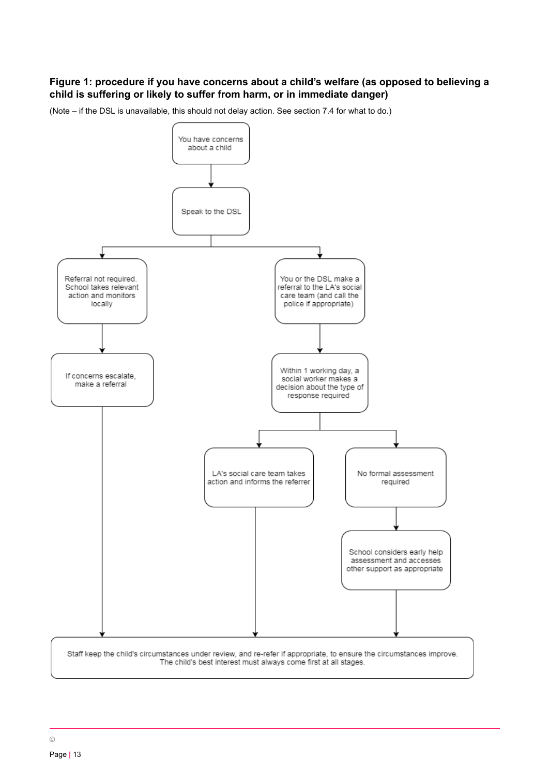## **Figure 1: procedure if you have concerns about a child's welfare (as opposed to believing a child is suffering or likely to suffer from harm, or in immediate danger)**



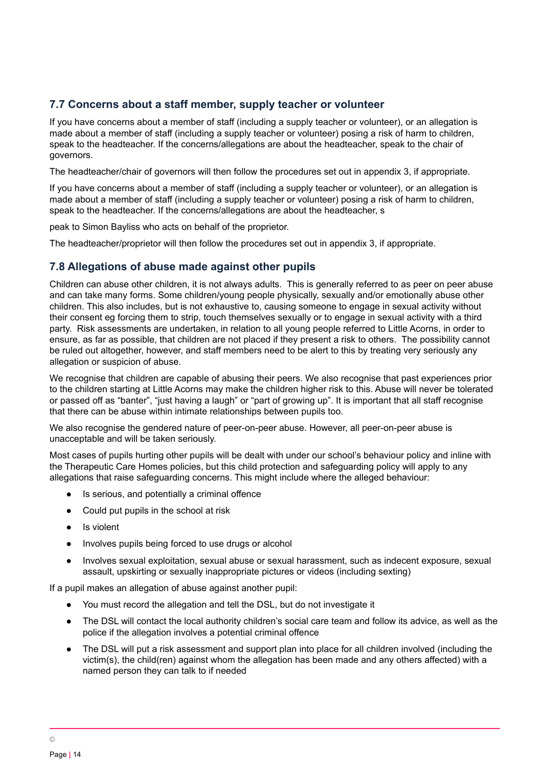## **7.7 Concerns about a staff member, supply teacher or volunteer**

If you have concerns about a member of staff (including a supply teacher or volunteer), or an allegation is made about a member of staff (including a supply teacher or volunteer) posing a risk of harm to children, speak to the headteacher. If the concerns/allegations are about the headteacher, speak to the chair of governors.

The headteacher/chair of governors will then follow the procedures set out in appendix 3, if appropriate.

If you have concerns about a member of staff (including a supply teacher or volunteer), or an allegation is made about a member of staff (including a supply teacher or volunteer) posing a risk of harm to children, speak to the headteacher. If the concerns/allegations are about the headteacher, s

peak to Simon Bayliss who acts on behalf of the proprietor.

The headteacher/proprietor will then follow the procedures set out in appendix 3, if appropriate.

## **7.8 Allegations of abuse made against other pupils**

Children can abuse other children, it is not always adults. This is generally referred to as peer on peer abuse and can take many forms. Some children/young people physically, sexually and/or emotionally abuse other children. This also includes, but is not exhaustive to, causing someone to engage in sexual activity without their consent eg forcing them to strip, touch themselves sexually or to engage in sexual activity with a third party. Risk assessments are undertaken, in relation to all young people referred to Little Acorns, in order to ensure, as far as possible, that children are not placed if they present a risk to others. The possibility cannot be ruled out altogether, however, and staff members need to be alert to this by treating very seriously any allegation or suspicion of abuse.

We recognise that children are capable of abusing their peers. We also recognise that past experiences prior to the children starting at Little Acorns may make the children higher risk to this. Abuse will never be tolerated or passed off as "banter", "just having a laugh" or "part of growing up". It is important that all staff recognise that there can be abuse within intimate relationships between pupils too.

We also recognise the gendered nature of peer-on-peer abuse. However, all peer-on-peer abuse is unacceptable and will be taken seriously.

Most cases of pupils hurting other pupils will be dealt with under our school's behaviour policy and inline with the Therapeutic Care Homes policies, but this child protection and safeguarding policy will apply to any allegations that raise safeguarding concerns. This might include where the alleged behaviour:

- Is serious, and potentially a criminal offence
- Could put pupils in the school at risk
- Is violent
- Involves pupils being forced to use drugs or alcohol
- Involves sexual exploitation, sexual abuse or sexual harassment, such as indecent exposure, sexual assault, upskirting or sexually inappropriate pictures or videos (including sexting)

If a pupil makes an allegation of abuse against another pupil:

- You must record the allegation and tell the DSL, but do not investigate it
- The DSL will contact the local authority children's social care team and follow its advice, as well as the police if the allegation involves a potential criminal offence
- The DSL will put a risk assessment and support plan into place for all children involved (including the victim(s), the child(ren) against whom the allegation has been made and any others affected) with a named person they can talk to if needed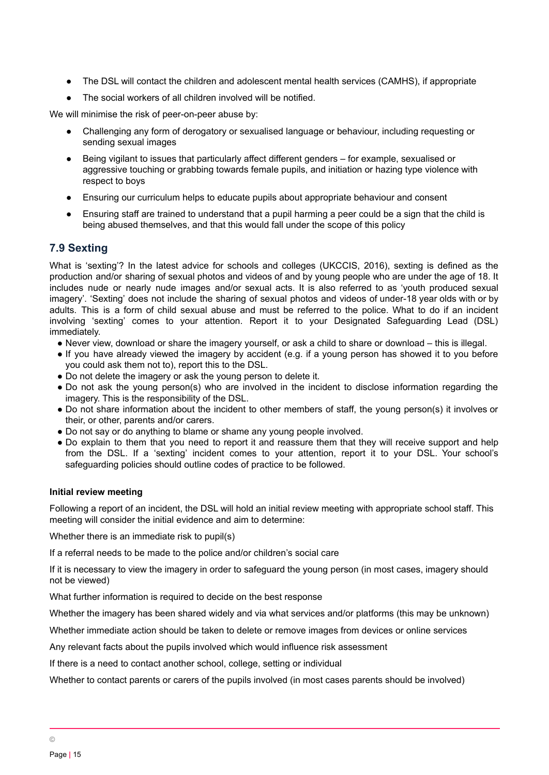- The DSL will contact the children and adolescent mental health services (CAMHS), if appropriate
- The social workers of all children involved will be notified.

We will minimise the risk of peer-on-peer abuse by:

- Challenging any form of derogatory or sexualised language or behaviour, including requesting or sending sexual images
- Being vigilant to issues that particularly affect different genders for example, sexualised or aggressive touching or grabbing towards female pupils, and initiation or hazing type violence with respect to boys
- Ensuring our curriculum helps to educate pupils about appropriate behaviour and consent
- Ensuring staff are trained to understand that a pupil harming a peer could be a sign that the child is being abused themselves, and that this would fall under the scope of this policy

# **7.9 Sexting**

What is 'sexting'? In the latest advice for schools and colleges (UKCCIS, 2016), sexting is defined as the production and/or sharing of sexual photos and videos of and by young people who are under the age of 18. It includes nude or nearly nude images and/or sexual acts. It is also referred to as 'youth produced sexual imagery'. 'Sexting' does not include the sharing of sexual photos and videos of under-18 year olds with or by adults. This is a form of child sexual abuse and must be referred to the police. What to do if an incident involving 'sexting' comes to your attention. Report it to your Designated Safeguarding Lead (DSL) immediately.

- Never view, download or share the imagery yourself, or ask a child to share or download this is illegal.
- If you have already viewed the imagery by accident (e.g. if a young person has showed it to you before you could ask them not to), report this to the DSL.
- Do not delete the imagery or ask the young person to delete it.
- Do not ask the young person(s) who are involved in the incident to disclose information regarding the imagery. This is the responsibility of the DSL.
- Do not share information about the incident to other members of staff, the young person(s) it involves or their, or other, parents and/or carers.
- Do not say or do anything to blame or shame any young people involved.
- Do explain to them that you need to report it and reassure them that they will receive support and help from the DSL. If a 'sexting' incident comes to your attention, report it to your DSL. Your school's safeguarding policies should outline codes of practice to be followed.

#### **Initial review meeting**

Following a report of an incident, the DSL will hold an initial review meeting with appropriate school staff. This meeting will consider the initial evidence and aim to determine:

Whether there is an immediate risk to pupil(s)

If a referral needs to be made to the police and/or children's social care

If it is necessary to view the imagery in order to safeguard the young person (in most cases, imagery should not be viewed)

What further information is required to decide on the best response

Whether the imagery has been shared widely and via what services and/or platforms (this may be unknown)

Whether immediate action should be taken to delete or remove images from devices or online services

Any relevant facts about the pupils involved which would influence risk assessment

If there is a need to contact another school, college, setting or individual

Whether to contact parents or carers of the pupils involved (in most cases parents should be involved)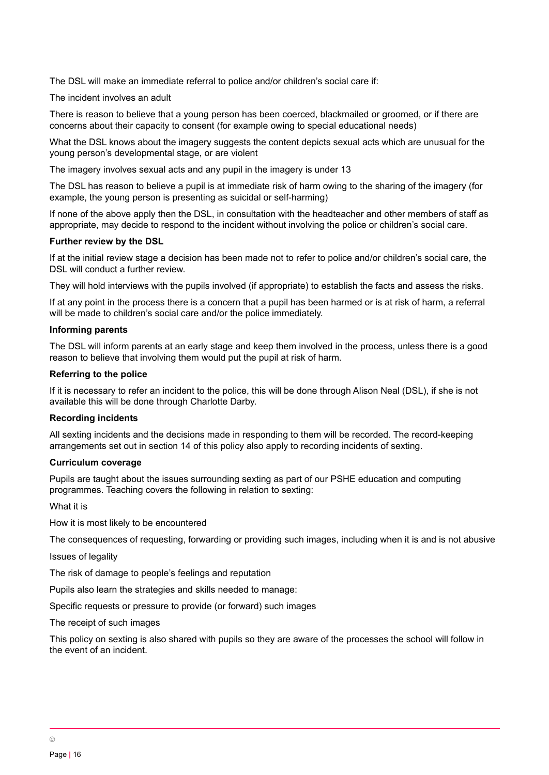The DSL will make an immediate referral to police and/or children's social care if:

The incident involves an adult

There is reason to believe that a young person has been coerced, blackmailed or groomed, or if there are concerns about their capacity to consent (for example owing to special educational needs)

What the DSL knows about the imagery suggests the content depicts sexual acts which are unusual for the young person's developmental stage, or are violent

The imagery involves sexual acts and any pupil in the imagery is under 13

The DSL has reason to believe a pupil is at immediate risk of harm owing to the sharing of the imagery (for example, the young person is presenting as suicidal or self-harming)

If none of the above apply then the DSL, in consultation with the headteacher and other members of staff as appropriate, may decide to respond to the incident without involving the police or children's social care.

#### **Further review by the DSL**

If at the initial review stage a decision has been made not to refer to police and/or children's social care, the DSL will conduct a further review.

They will hold interviews with the pupils involved (if appropriate) to establish the facts and assess the risks.

If at any point in the process there is a concern that a pupil has been harmed or is at risk of harm, a referral will be made to children's social care and/or the police immediately.

#### **Informing parents**

The DSL will inform parents at an early stage and keep them involved in the process, unless there is a good reason to believe that involving them would put the pupil at risk of harm.

#### **Referring to the police**

If it is necessary to refer an incident to the police, this will be done through Alison Neal (DSL), if she is not available this will be done through Charlotte Darby.

#### **Recording incidents**

All sexting incidents and the decisions made in responding to them will be recorded. The record-keeping arrangements set out in section 14 of this policy also apply to recording incidents of sexting.

#### **Curriculum coverage**

Pupils are taught about the issues surrounding sexting as part of our PSHE education and computing programmes. Teaching covers the following in relation to sexting:

What it is

How it is most likely to be encountered

The consequences of requesting, forwarding or providing such images, including when it is and is not abusive

Issues of legality

The risk of damage to people's feelings and reputation

Pupils also learn the strategies and skills needed to manage:

Specific requests or pressure to provide (or forward) such images

The receipt of such images

<span id="page-15-0"></span>This policy on sexting is also shared with pupils so they are aware of the processes the school will follow in the event of an incident.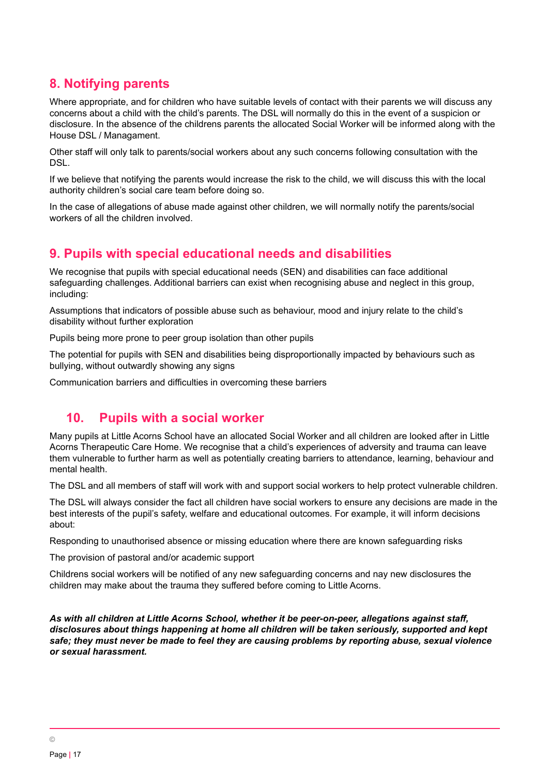# **8. Notifying parents**

Where appropriate, and for children who have suitable levels of contact with their parents we will discuss any concerns about a child with the child's parents. The DSL will normally do this in the event of a suspicion or disclosure. In the absence of the childrens parents the allocated Social Worker will be informed along with the House DSL / Managament.

Other staff will only talk to parents/social workers about any such concerns following consultation with the DSL.

If we believe that notifying the parents would increase the risk to the child, we will discuss this with the local authority children's social care team before doing so.

In the case of allegations of abuse made against other children, we will normally notify the parents/social workers of all the children involved.

# <span id="page-16-0"></span>**9. Pupils with special educational needs and disabilities**

We recognise that pupils with special educational needs (SEN) and disabilities can face additional safeguarding challenges. Additional barriers can exist when recognising abuse and neglect in this group, including:

Assumptions that indicators of possible abuse such as behaviour, mood and injury relate to the child's disability without further exploration

Pupils being more prone to peer group isolation than other pupils

The potential for pupils with SEN and disabilities being disproportionally impacted by behaviours such as bullying, without outwardly showing any signs

<span id="page-16-1"></span>Communication barriers and difficulties in overcoming these barriers

# **10. Pupils with a social worker**

Many pupils at Little Acorns School have an allocated Social Worker and all children are looked after in Little Acorns Therapeutic Care Home. We recognise that a child's experiences of adversity and trauma can leave them vulnerable to further harm as well as potentially creating barriers to attendance, learning, behaviour and mental health.

The DSL and all members of staff will work with and support social workers to help protect vulnerable children.

The DSL will always consider the fact all children have social workers to ensure any decisions are made in the best interests of the pupil's safety, welfare and educational outcomes. For example, it will inform decisions about:

Responding to unauthorised absence or missing education where there are known safeguarding risks

The provision of pastoral and/or academic support

Childrens social workers will be notified of any new safeguarding concerns and nay new disclosures the children may make about the trauma they suffered before coming to Little Acorns.

<span id="page-16-2"></span>*As with all children at Little Acorns School, whether it be peer-on-peer, allegations against staff, disclosures about things happening at home all children will be taken seriously, supported and kept safe; they must never be made to feel they are causing problems by reporting abuse, sexual violence or sexual harassment.*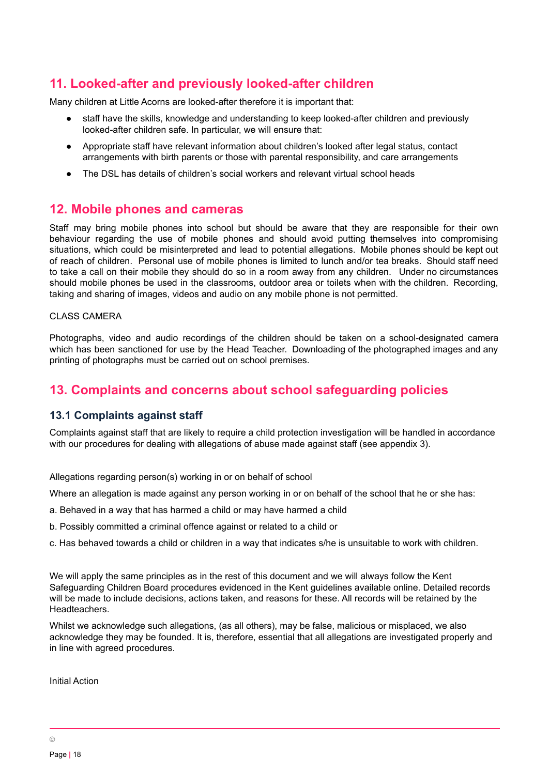# **11. Looked-after and previously looked-after children**

Many children at Little Acorns are looked-after therefore it is important that:

- staff have the skills, knowledge and understanding to keep looked-after children and previously looked-after children safe. In particular, we will ensure that:
- Appropriate staff have relevant information about children's looked after legal status, contact arrangements with birth parents or those with parental responsibility, and care arrangements
- The DSL has details of children's social workers and relevant virtual school heads

# <span id="page-17-0"></span>**12. Mobile phones and cameras**

Staff may bring mobile phones into school but should be aware that they are responsible for their own behaviour regarding the use of mobile phones and should avoid putting themselves into compromising situations, which could be misinterpreted and lead to potential allegations. Mobile phones should be kept out of reach of children. Personal use of mobile phones is limited to lunch and/or tea breaks. Should staff need to take a call on their mobile they should do so in a room away from any children. Under no circumstances should mobile phones be used in the classrooms, outdoor area or toilets when with the children. Recording, taking and sharing of images, videos and audio on any mobile phone is not permitted.

#### CLASS CAMERA

Photographs, video and audio recordings of the children should be taken on a school-designated camera which has been sanctioned for use by the Head Teacher. Downloading of the photographed images and any printing of photographs must be carried out on school premises.

# <span id="page-17-1"></span>**13. Complaints and concerns about school safeguarding policies**

#### **13.1 Complaints against staff**

Complaints against staff that are likely to require a child protection investigation will be handled in accordance with our procedures for dealing with allegations of abuse made against staff (see appendix 3).

Allegations regarding person(s) working in or on behalf of school

Where an allegation is made against any person working in or on behalf of the school that he or she has:

- a. Behaved in a way that has harmed a child or may have harmed a child
- b. Possibly committed a criminal offence against or related to a child or
- c. Has behaved towards a child or children in a way that indicates s/he is unsuitable to work with children.

We will apply the same principles as in the rest of this document and we will always follow the Kent Safeguarding Children Board procedures evidenced in the Kent guidelines available online. Detailed records will be made to include decisions, actions taken, and reasons for these. All records will be retained by the Headteachers.

Whilst we acknowledge such allegations, (as all others), may be false, malicious or misplaced, we also acknowledge they may be founded. It is, therefore, essential that all allegations are investigated properly and in line with agreed procedures.

Initial Action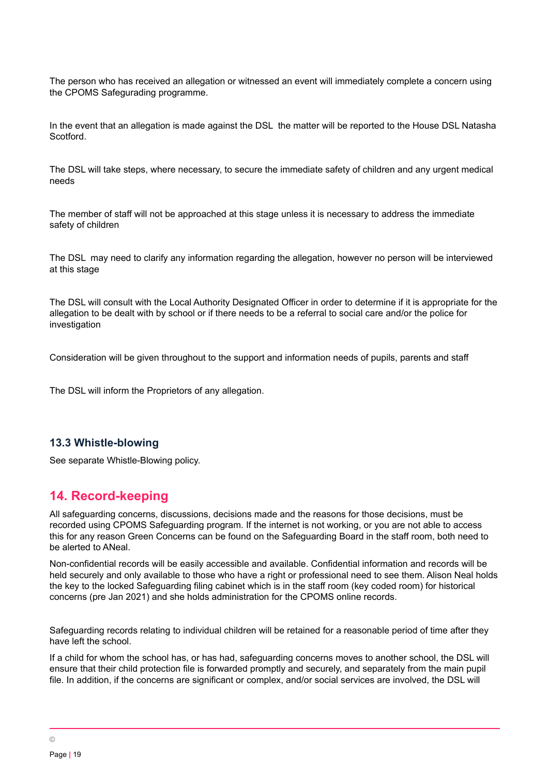The person who has received an allegation or witnessed an event will immediately complete a concern using the CPOMS Safegurading programme.

In the event that an allegation is made against the DSL the matter will be reported to the House DSL Natasha Scotford.

The DSL will take steps, where necessary, to secure the immediate safety of children and any urgent medical needs

The member of staff will not be approached at this stage unless it is necessary to address the immediate safety of children

The DSL may need to clarify any information regarding the allegation, however no person will be interviewed at this stage

The DSL will consult with the Local Authority Designated Officer in order to determine if it is appropriate for the allegation to be dealt with by school or if there needs to be a referral to social care and/or the police for investigation

Consideration will be given throughout to the support and information needs of pupils, parents and staff

The DSL will inform the Proprietors of any allegation.

#### **13.3 Whistle-blowing**

<span id="page-18-0"></span>See separate Whistle-Blowing policy.

# **14. Record-keeping**

All safeguarding concerns, discussions, decisions made and the reasons for those decisions, must be recorded using CPOMS Safeguarding program. If the internet is not working, or you are not able to access this for any reason Green Concerns can be found on the Safeguarding Board in the staff room, both need to be alerted to ANeal.

Non-confidential records will be easily accessible and available. Confidential information and records will be held securely and only available to those who have a right or professional need to see them. Alison Neal holds the key to the locked Safeguarding filing cabinet which is in the staff room (key coded room) for historical concerns (pre Jan 2021) and she holds administration for the CPOMS online records.

Safeguarding records relating to individual children will be retained for a reasonable period of time after they have left the school.

If a child for whom the school has, or has had, safeguarding concerns moves to another school, the DSL will ensure that their child protection file is forwarded promptly and securely, and separately from the main pupil file. In addition, if the concerns are significant or complex, and/or social services are involved, the DSL will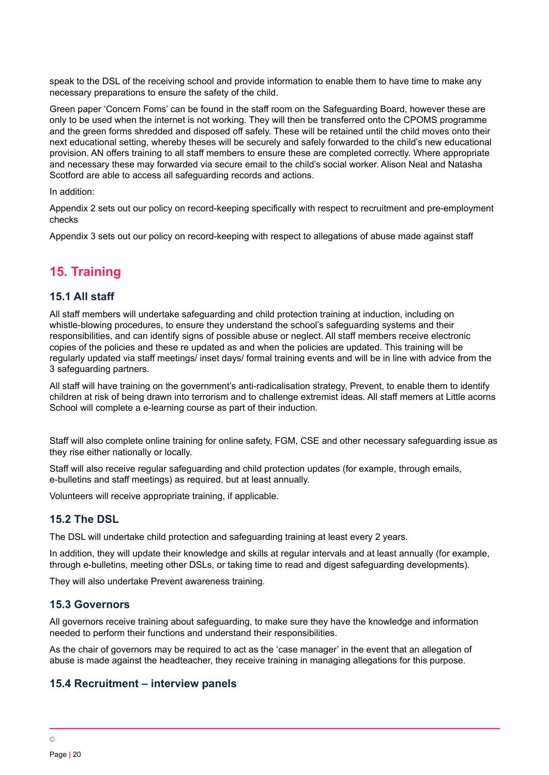speak to the DSL of the receiving school and provide information to enable them to have time to make any necessary preparations to ensure the safety of the child.

Green paper 'Concern Foms' can be found in the staff room on the Safeguarding Board, however these are only to be used when the internet is not working. They will then be transferred onto the CPOMS programme and the green forms shredded and disposed off safely. These will be retained until the child moves onto their next educational setting, whereby theses will be securely and safely forwarded to the child's new educational provision. AN offers training to all staff members to ensure these are completed correctly. Where appropriate and necessary these may forwarded via secure email to the child's social worker. Alison Neal and Natasha Scotford are able to access all safeguarding records and actions.

#### In addition:

Appendix 2 sets out our policy on record-keeping specifically with respect to recruitment and pre-employment checks

<span id="page-19-0"></span>Appendix 3 sets out our policy on record-keeping with respect to allegations of abuse made against staff

# **15. Training**

#### **15.1 All staff**

All staff members will undertake safeguarding and child protection training at induction, including on whistle-blowing procedures, to ensure they understand the school's safeguarding systems and their responsibilities, and can identify signs of possible abuse or neglect. All staff members receive electronic copies of the policies and these re updated as and when the policies are updated. This training will be regularly updated via staff meetings/ inset days/ formal training events and will be in line with advice from the 3 safeguarding partners.

All staff will have training on the government's anti-radicalisation strategy, Prevent, to enable them to identify children at risk of being drawn into terrorism and to challenge extremist ideas. All staff memers at Little acorns School will complete a e-learning course as part of their induction.

Staff will also complete online training for online safety, FGM, CSE and other necessary safeguarding issue as they rise either nationally or locally.

Staff will also receive regular safeguarding and child protection updates (for example, through emails, e-bulletins and staff meetings) as required, but at least annually.

Volunteers will receive appropriate training, if applicable.

#### **15.2 The DSL**

The DSL will undertake child protection and safeguarding training at least every 2 years.

In addition, they will update their knowledge and skills at regular intervals and at least annually (for example, through e-bulletins, meeting other DSLs, or taking time to read and digest safeguarding developments).

They will also undertake Prevent awareness training.

#### **15.3 Governors**

All governors receive training about safeguarding, to make sure they have the knowledge and information needed to perform their functions and understand their responsibilities.

As the chair of governors may be required to act as the 'case manager' in the event that an allegation of abuse is made against the headteacher, they receive training in managing allegations for this purpose.

#### **15.4 Recruitment – interview panels**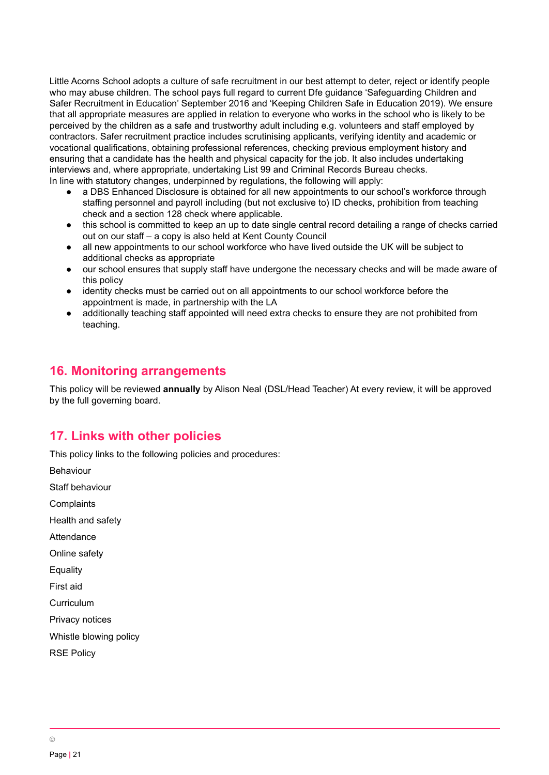Little Acorns School adopts a culture of safe recruitment in our best attempt to deter, reject or identify people who may abuse children. The school pays full regard to current Dfe guidance 'Safeguarding Children and Safer Recruitment in Education' September 2016 and 'Keeping Children Safe in Education 2019). We ensure that all appropriate measures are applied in relation to everyone who works in the school who is likely to be perceived by the children as a safe and trustworthy adult including e.g. volunteers and staff employed by contractors. Safer recruitment practice includes scrutinising applicants, verifying identity and academic or vocational qualifications, obtaining professional references, checking previous employment history and ensuring that a candidate has the health and physical capacity for the job. It also includes undertaking interviews and, where appropriate, undertaking List 99 and Criminal Records Bureau checks. In line with statutory changes, underpinned by regulations, the following will apply:

- a DBS Enhanced Disclosure is obtained for all new appointments to our school's workforce through staffing personnel and payroll including (but not exclusive to) ID checks, prohibition from teaching check and a section 128 check where applicable.
- this school is committed to keep an up to date single central record detailing a range of checks carried out on our staff – a copy is also held at Kent County Council
- all new appointments to our school workforce who have lived outside the UK will be subject to additional checks as appropriate
- our school ensures that supply staff have undergone the necessary checks and will be made aware of this policy
- identity checks must be carried out on all appointments to our school workforce before the appointment is made, in partnership with the LA
- additionally teaching staff appointed will need extra checks to ensure they are not prohibited from teaching.

# <span id="page-20-0"></span>**16. Monitoring arrangements**

This policy will be reviewed **annually** by Alison Neal (DSL/Head Teacher) At every review, it will be approved by the full governing board.

# <span id="page-20-1"></span>**17. Links with other policies**

This policy links to the following policies and procedures:

Behaviour

Staff behaviour

**Complaints** 

Health and safety

Attendance

Online safety

**Equality** 

First aid

Curriculum

Privacy notices

Whistle blowing policy

<span id="page-20-2"></span>RSE Policy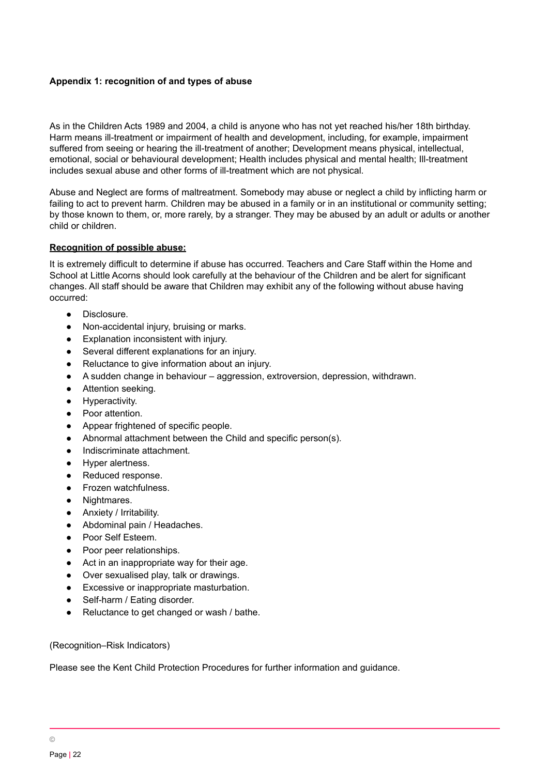#### **Appendix 1: recognition of and types of abuse**

As in the Children Acts 1989 and 2004, a child is anyone who has not yet reached his/her 18th birthday. Harm means ill-treatment or impairment of health and development, including, for example, impairment suffered from seeing or hearing the ill-treatment of another; Development means physical, intellectual, emotional, social or behavioural development; Health includes physical and mental health; Ill-treatment includes sexual abuse and other forms of ill-treatment which are not physical.

Abuse and Neglect are forms of maltreatment. Somebody may abuse or neglect a child by inflicting harm or failing to act to prevent harm. Children may be abused in a family or in an institutional or community setting; by those known to them, or, more rarely, by a stranger. They may be abused by an adult or adults or another child or children.

#### **Recognition of possible abuse:**

It is extremely difficult to determine if abuse has occurred. Teachers and Care Staff within the Home and School at Little Acorns should look carefully at the behaviour of the Children and be alert for significant changes. All staff should be aware that Children may exhibit any of the following without abuse having occurred:

- Disclosure.
- Non-accidental injury, bruising or marks.
- Explanation inconsistent with injury.
- Several different explanations for an injury.
- Reluctance to give information about an injury.
- A sudden change in behaviour aggression, extroversion, depression, withdrawn.
- Attention seeking.
- Hyperactivity.
- Poor attention.
- Appear frightened of specific people.
- Abnormal attachment between the Child and specific person(s).
- Indiscriminate attachment.
- Hyper alertness.
- Reduced response.
- Frozen watchfulness.
- Nightmares.
- Anxiety / Irritability.
- Abdominal pain / Headaches.
- Poor Self Esteem.
- Poor peer relationships.
- Act in an inappropriate way for their age.
- Over sexualised play, talk or drawings.
- Excessive or inappropriate masturbation.
- Self-harm / Eating disorder.
- Reluctance to get changed or wash / bathe.

(Recognition–Risk Indicators)

Please see the Kent Child Protection Procedures for further information and guidance.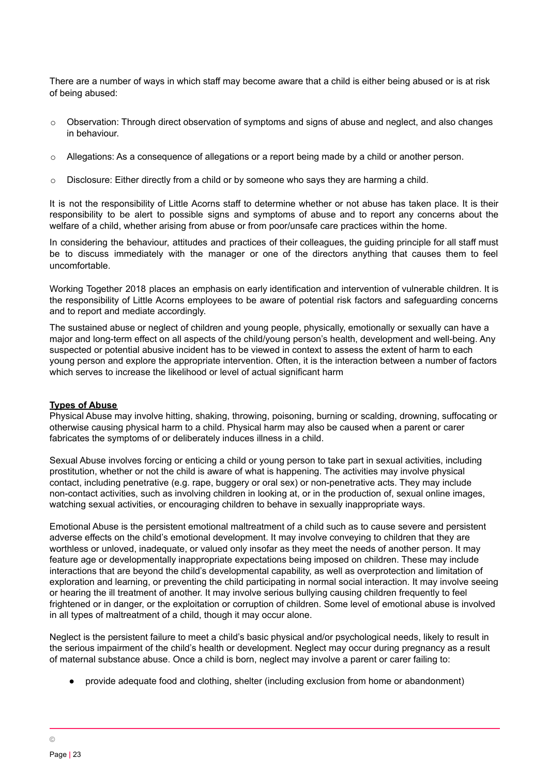There are a number of ways in which staff may become aware that a child is either being abused or is at risk of being abused:

- o Observation: Through direct observation of symptoms and signs of abuse and neglect, and also changes in behaviour.
- Allegations: As a consequence of allegations or a report being made by a child or another person.
- $\circ$  Disclosure: Either directly from a child or by someone who says they are harming a child.

It is not the responsibility of Little Acorns staff to determine whether or not abuse has taken place. It is their responsibility to be alert to possible signs and symptoms of abuse and to report any concerns about the welfare of a child, whether arising from abuse or from poor/unsafe care practices within the home.

In considering the behaviour, attitudes and practices of their colleagues, the guiding principle for all staff must be to discuss immediately with the manager or one of the directors anything that causes them to feel uncomfortable.

Working Together 2018 places an emphasis on early identification and intervention of vulnerable children. It is the responsibility of Little Acorns employees to be aware of potential risk factors and safeguarding concerns and to report and mediate accordingly.

The sustained abuse or neglect of children and young people, physically, emotionally or sexually can have a major and long-term effect on all aspects of the child/young person's health, development and well-being. Any suspected or potential abusive incident has to be viewed in context to assess the extent of harm to each young person and explore the appropriate intervention. Often, it is the interaction between a number of factors which serves to increase the likelihood or level of actual significant harm

#### **Types of Abuse**

Physical Abuse may involve hitting, shaking, throwing, poisoning, burning or scalding, drowning, suffocating or otherwise causing physical harm to a child. Physical harm may also be caused when a parent or carer fabricates the symptoms of or deliberately induces illness in a child.

Sexual Abuse involves forcing or enticing a child or young person to take part in sexual activities, including prostitution, whether or not the child is aware of what is happening. The activities may involve physical contact, including penetrative (e.g. rape, buggery or oral sex) or non-penetrative acts. They may include non-contact activities, such as involving children in looking at, or in the production of, sexual online images, watching sexual activities, or encouraging children to behave in sexually inappropriate ways.

Emotional Abuse is the persistent emotional maltreatment of a child such as to cause severe and persistent adverse effects on the child's emotional development. It may involve conveying to children that they are worthless or unloved, inadequate, or valued only insofar as they meet the needs of another person. It may feature age or developmentally inappropriate expectations being imposed on children. These may include interactions that are beyond the child's developmental capability, as well as overprotection and limitation of exploration and learning, or preventing the child participating in normal social interaction. It may involve seeing or hearing the ill treatment of another. It may involve serious bullying causing children frequently to feel frightened or in danger, or the exploitation or corruption of children. Some level of emotional abuse is involved in all types of maltreatment of a child, though it may occur alone.

Neglect is the persistent failure to meet a child's basic physical and/or psychological needs, likely to result in the serious impairment of the child's health or development. Neglect may occur during pregnancy as a result of maternal substance abuse. Once a child is born, neglect may involve a parent or carer failing to:

provide adequate food and clothing, shelter (including exclusion from home or abandonment)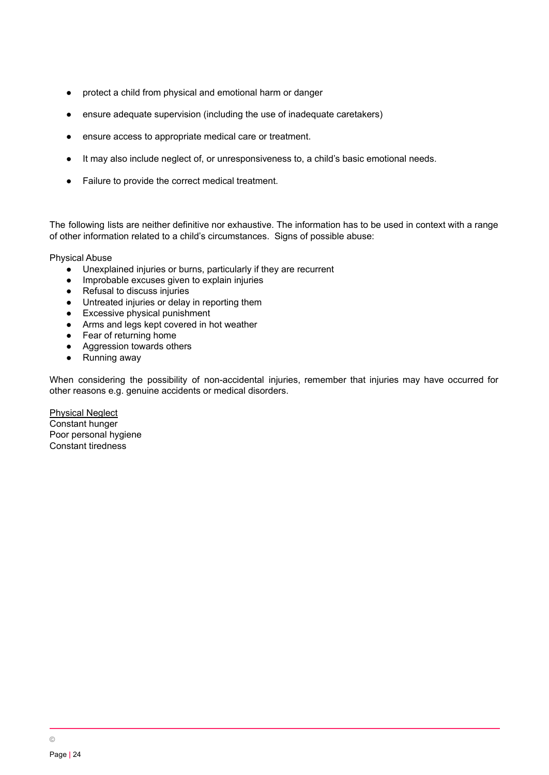- protect a child from physical and emotional harm or danger
- ensure adequate supervision (including the use of inadequate caretakers)
- ensure access to appropriate medical care or treatment.
- It may also include neglect of, or unresponsiveness to, a child's basic emotional needs.
- Failure to provide the correct medical treatment.

The following lists are neither definitive nor exhaustive. The information has to be used in context with a range of other information related to a child's circumstances. Signs of possible abuse:

Physical Abuse

- Unexplained injuries or burns, particularly if they are recurrent
- Improbable excuses given to explain injuries
- Refusal to discuss injuries
- Untreated injuries or delay in reporting them
- Excessive physical punishment
- Arms and legs kept covered in hot weather
- Fear of returning home
- Aggression towards others
- Running away

When considering the possibility of non-accidental injuries, remember that injuries may have occurred for other reasons e.g. genuine accidents or medical disorders.

Physical Neglect Constant hunger Poor personal hygiene Constant tiredness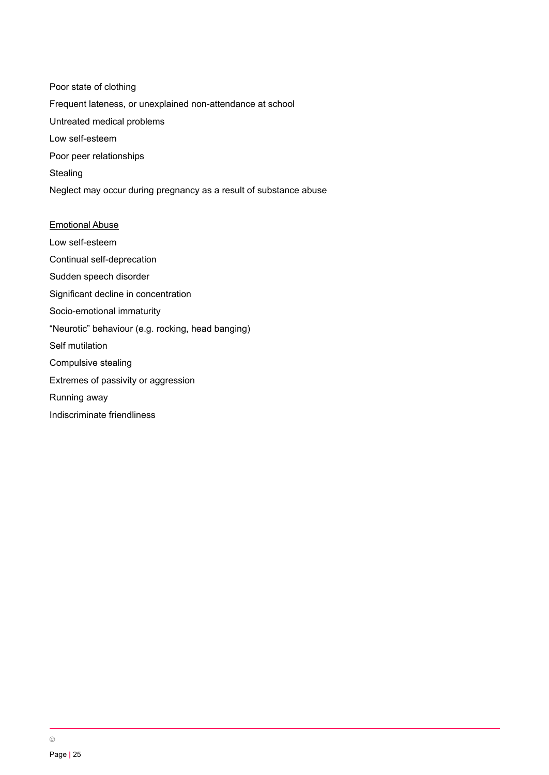Poor state of clothing Frequent lateness, or unexplained non-attendance at school Untreated medical problems Low self-esteem Poor peer relationships Stealing Neglect may occur during pregnancy as a result of substance abuse

Emotional Abuse Low self-esteem Continual self-deprecation Sudden speech disorder Significant decline in concentration Socio-emotional immaturity "Neurotic" behaviour (e.g. rocking, head banging) Self mutilation Compulsive stealing Extremes of passivity or aggression Running away Indiscriminate friendliness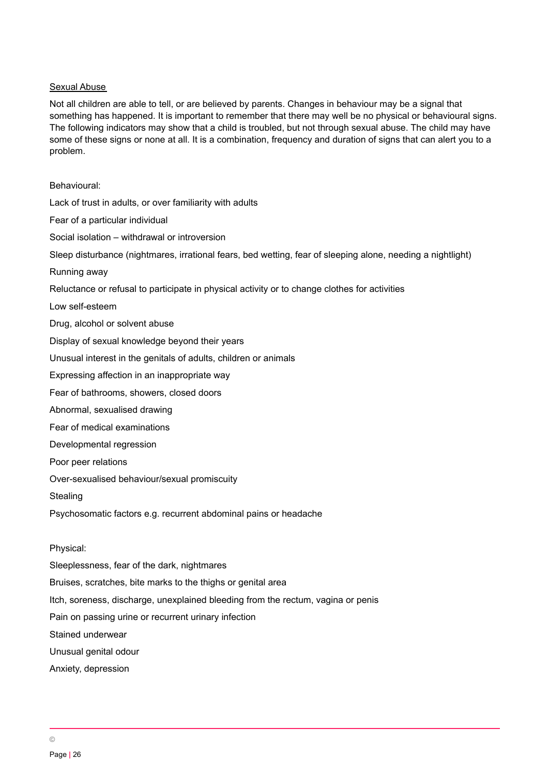#### Sexual Abuse

Not all children are able to tell, or are believed by parents. Changes in behaviour may be a signal that something has happened. It is important to remember that there may well be no physical or behavioural signs. The following indicators may show that a child is troubled, but not through sexual abuse. The child may have some of these signs or none at all. It is a combination, frequency and duration of signs that can alert you to a problem.

Behavioural:

Lack of trust in adults, or over familiarity with adults Fear of a particular individual Social isolation – withdrawal or introversion Sleep disturbance (nightmares, irrational fears, bed wetting, fear of sleeping alone, needing a nightlight) Running away Reluctance or refusal to participate in physical activity or to change clothes for activities Low self-esteem Drug, alcohol or solvent abuse Display of sexual knowledge beyond their years Unusual interest in the genitals of adults, children or animals Expressing affection in an inappropriate way Fear of bathrooms, showers, closed doors Abnormal, sexualised drawing Fear of medical examinations Developmental regression Poor peer relations Over-sexualised behaviour/sexual promiscuity **Stealing** Psychosomatic factors e.g. recurrent abdominal pains or headache Physical: Sleeplessness, fear of the dark, nightmares Bruises, scratches, bite marks to the thighs or genital area Itch, soreness, discharge, unexplained bleeding from the rectum, vagina or penis Pain on passing urine or recurrent urinary infection Stained underwear

Unusual genital odour

Anxiety, depression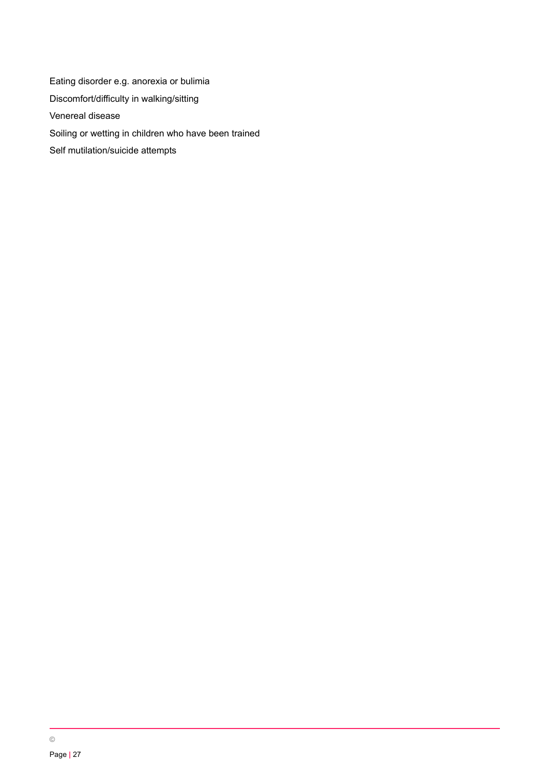<span id="page-26-0"></span>Eating disorder e.g. anorexia or bulimia Discomfort/difficulty in walking/sitting Venereal disease Soiling or wetting in children who have been trained Self mutilation/suicide attempts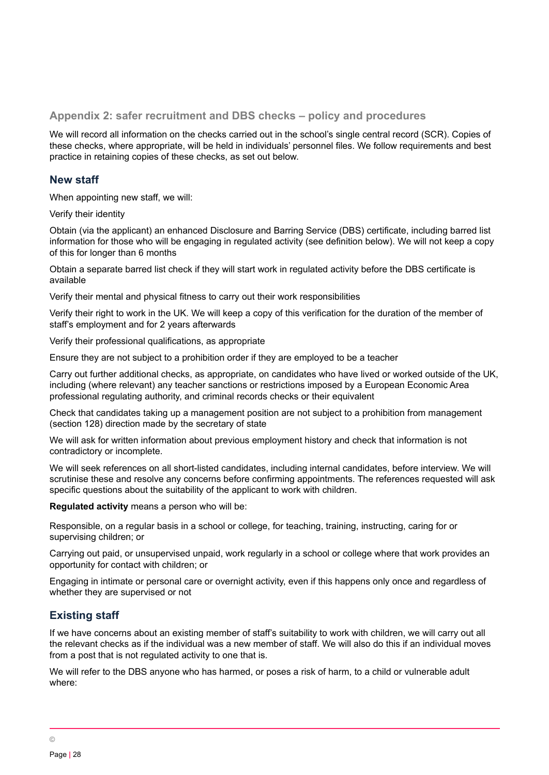**Appendix 2: safer recruitment and DBS checks – policy and procedures**

We will record all information on the checks carried out in the school's single central record (SCR). Copies of these checks, where appropriate, will be held in individuals' personnel files. We follow requirements and best practice in retaining copies of these checks, as set out below.

## **New staff**

When appointing new staff, we will:

Verify their identity

Obtain (via the applicant) an enhanced Disclosure and Barring Service (DBS) certificate, including barred list information for those who will be engaging in regulated activity (see definition below). We will not keep a copy of this for longer than 6 months

Obtain a separate barred list check if they will start work in regulated activity before the DBS certificate is available

Verify their mental and physical fitness to carry out their work responsibilities

Verify their right to work in the UK. We will keep a copy of this verification for the duration of the member of staff's employment and for 2 years afterwards

Verify their professional qualifications, as appropriate

Ensure they are not subject to a prohibition order if they are employed to be a teacher

Carry out further additional checks, as appropriate, on candidates who have lived or worked outside of the UK, including (where relevant) any teacher sanctions or restrictions imposed by a European Economic Area professional regulating authority, and criminal records checks or their equivalent

Check that candidates taking up a management position are not subject to a prohibition from management (section 128) direction made by the secretary of state

We will ask for written information about previous employment history and check that information is not contradictory or incomplete.

We will seek references on all short-listed candidates, including internal candidates, before interview. We will scrutinise these and resolve any concerns before confirming appointments. The references requested will ask specific questions about the suitability of the applicant to work with children.

**Regulated activity** means a person who will be:

Responsible, on a regular basis in a school or college, for teaching, training, instructing, caring for or supervising children; or

Carrying out paid, or unsupervised unpaid, work regularly in a school or college where that work provides an opportunity for contact with children; or

Engaging in intimate or personal care or overnight activity, even if this happens only once and regardless of whether they are supervised or not

# **Existing staff**

If we have concerns about an existing member of staff's suitability to work with children, we will carry out all the relevant checks as if the individual was a new member of staff. We will also do this if an individual moves from a post that is not regulated activity to one that is.

We will refer to the DBS anyone who has harmed, or poses a risk of harm, to a child or vulnerable adult where: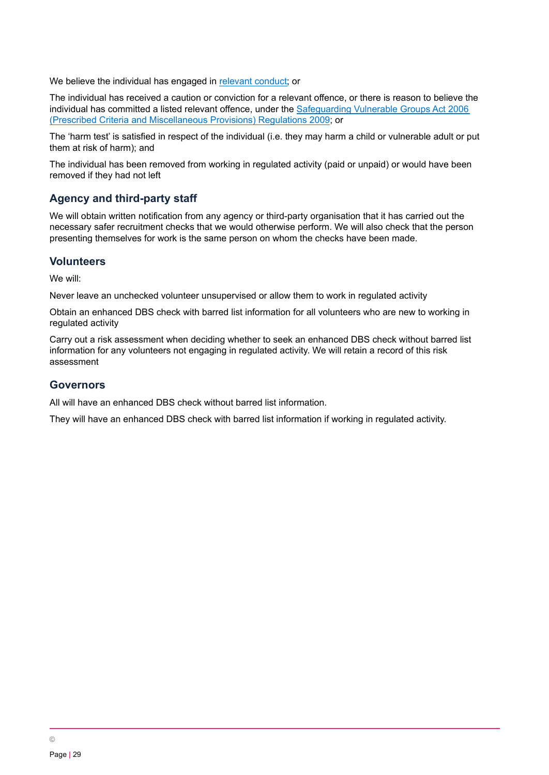We believe the individual has engaged in [relevant](https://www.gov.uk/guidance/making-barring-referrals-to-the-dbs#relevant-conduct-in-relation-to-children) conduct; or

The individual has received a caution or conviction for a relevant offence, or there is reason to believe the individual has committed a listed relevant offence, under the [Safeguarding](http://www.legislation.gov.uk/uksi/2009/37/contents/made) Vulnerable Groups Act 2006 (Prescribed Criteria and [Miscellaneous](http://www.legislation.gov.uk/uksi/2009/37/contents/made) Provisions) Regulations 2009; or

The 'harm test' is satisfied in respect of the individual (i.e. they may harm a child or vulnerable adult or put them at risk of harm); and

The individual has been removed from working in regulated activity (paid or unpaid) or would have been removed if they had not left

## **Agency and third-party staff**

We will obtain written notification from any agency or third-party organisation that it has carried out the necessary safer recruitment checks that we would otherwise perform. We will also check that the person presenting themselves for work is the same person on whom the checks have been made.

#### **Volunteers**

We will:

Never leave an unchecked volunteer unsupervised or allow them to work in regulated activity

Obtain an enhanced DBS check with barred list information for all volunteers who are new to working in regulated activity

Carry out a risk assessment when deciding whether to seek an enhanced DBS check without barred list information for any volunteers not engaging in regulated activity. We will retain a record of this risk assessment

#### **Governors**

All will have an enhanced DBS check without barred list information.

They will have an enhanced DBS check with barred list information if working in regulated activity.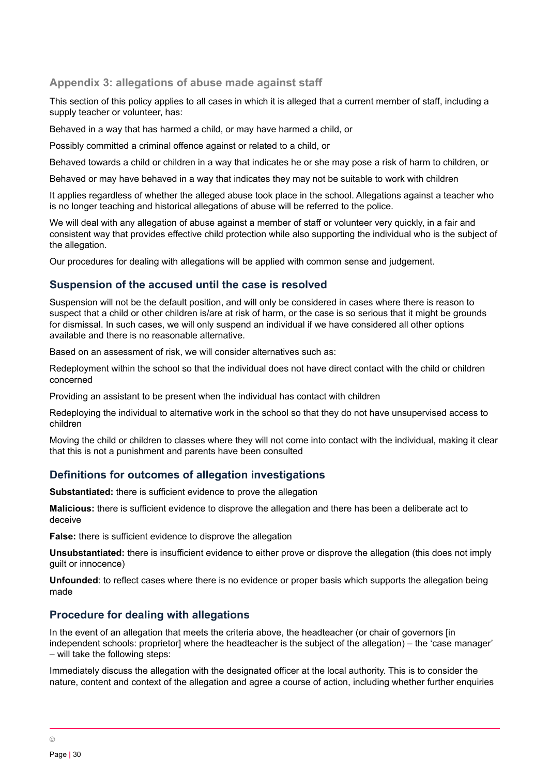# <span id="page-29-0"></span>**Appendix 3: allegations of abuse made against staff**

This section of this policy applies to all cases in which it is alleged that a current member of staff, including a supply teacher or volunteer, has:

Behaved in a way that has harmed a child, or may have harmed a child, or

Possibly committed a criminal offence against or related to a child, or

Behaved towards a child or children in a way that indicates he or she may pose a risk of harm to children, or

Behaved or may have behaved in a way that indicates they may not be suitable to work with children

It applies regardless of whether the alleged abuse took place in the school. Allegations against a teacher who is no longer teaching and historical allegations of abuse will be referred to the police.

We will deal with any allegation of abuse against a member of staff or volunteer very quickly, in a fair and consistent way that provides effective child protection while also supporting the individual who is the subject of the allegation.

Our procedures for dealing with allegations will be applied with common sense and judgement.

## **Suspension of the accused until the case is resolved**

Suspension will not be the default position, and will only be considered in cases where there is reason to suspect that a child or other children is/are at risk of harm, or the case is so serious that it might be grounds for dismissal. In such cases, we will only suspend an individual if we have considered all other options available and there is no reasonable alternative.

Based on an assessment of risk, we will consider alternatives such as:

Redeployment within the school so that the individual does not have direct contact with the child or children concerned

Providing an assistant to be present when the individual has contact with children

Redeploying the individual to alternative work in the school so that they do not have unsupervised access to children

Moving the child or children to classes where they will not come into contact with the individual, making it clear that this is not a punishment and parents have been consulted

# **Definitions for outcomes of allegation investigations**

**Substantiated:** there is sufficient evidence to prove the allegation

**Malicious:** there is sufficient evidence to disprove the allegation and there has been a deliberate act to deceive

**False:** there is sufficient evidence to disprove the allegation

**Unsubstantiated:** there is insufficient evidence to either prove or disprove the allegation (this does not imply guilt or innocence)

**Unfounded**: to reflect cases where there is no evidence or proper basis which supports the allegation being made

# **Procedure for dealing with allegations**

In the event of an allegation that meets the criteria above, the headteacher (or chair of governors [in independent schools: proprietor] where the headteacher is the subject of the allegation) – the 'case manager' – will take the following steps:

Immediately discuss the allegation with the designated officer at the local authority. This is to consider the nature, content and context of the allegation and agree a course of action, including whether further enquiries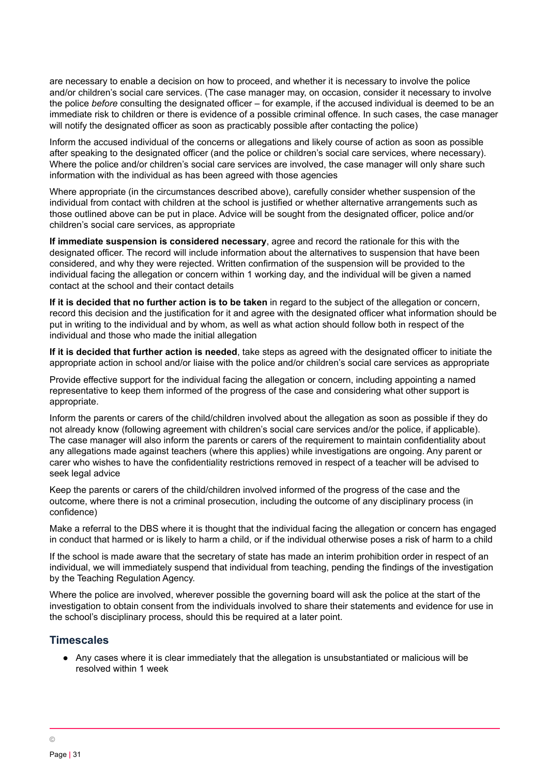are necessary to enable a decision on how to proceed, and whether it is necessary to involve the police and/or children's social care services. (The case manager may, on occasion, consider it necessary to involve the police *before* consulting the designated officer – for example, if the accused individual is deemed to be an immediate risk to children or there is evidence of a possible criminal offence. In such cases, the case manager will notify the designated officer as soon as practicably possible after contacting the police)

Inform the accused individual of the concerns or allegations and likely course of action as soon as possible after speaking to the designated officer (and the police or children's social care services, where necessary). Where the police and/or children's social care services are involved, the case manager will only share such information with the individual as has been agreed with those agencies

Where appropriate (in the circumstances described above), carefully consider whether suspension of the individual from contact with children at the school is justified or whether alternative arrangements such as those outlined above can be put in place. Advice will be sought from the designated officer, police and/or children's social care services, as appropriate

**If immediate suspension is considered necessary**, agree and record the rationale for this with the designated officer. The record will include information about the alternatives to suspension that have been considered, and why they were rejected. Written confirmation of the suspension will be provided to the individual facing the allegation or concern within 1 working day, and the individual will be given a named contact at the school and their contact details

**If it is decided that no further action is to be taken** in regard to the subject of the allegation or concern, record this decision and the justification for it and agree with the designated officer what information should be put in writing to the individual and by whom, as well as what action should follow both in respect of the individual and those who made the initial allegation

**If it is decided that further action is needed**, take steps as agreed with the designated officer to initiate the appropriate action in school and/or liaise with the police and/or children's social care services as appropriate

Provide effective support for the individual facing the allegation or concern, including appointing a named representative to keep them informed of the progress of the case and considering what other support is appropriate.

Inform the parents or carers of the child/children involved about the allegation as soon as possible if they do not already know (following agreement with children's social care services and/or the police, if applicable). The case manager will also inform the parents or carers of the requirement to maintain confidentiality about any allegations made against teachers (where this applies) while investigations are ongoing. Any parent or carer who wishes to have the confidentiality restrictions removed in respect of a teacher will be advised to seek legal advice

Keep the parents or carers of the child/children involved informed of the progress of the case and the outcome, where there is not a criminal prosecution, including the outcome of any disciplinary process (in confidence)

Make a referral to the DBS where it is thought that the individual facing the allegation or concern has engaged in conduct that harmed or is likely to harm a child, or if the individual otherwise poses a risk of harm to a child

If the school is made aware that the secretary of state has made an interim prohibition order in respect of an individual, we will immediately suspend that individual from teaching, pending the findings of the investigation by the Teaching Regulation Agency.

Where the police are involved, wherever possible the governing board will ask the police at the start of the investigation to obtain consent from the individuals involved to share their statements and evidence for use in the school's disciplinary process, should this be required at a later point.

# **Timescales**

● Any cases where it is clear immediately that the allegation is unsubstantiated or malicious will be resolved within 1 week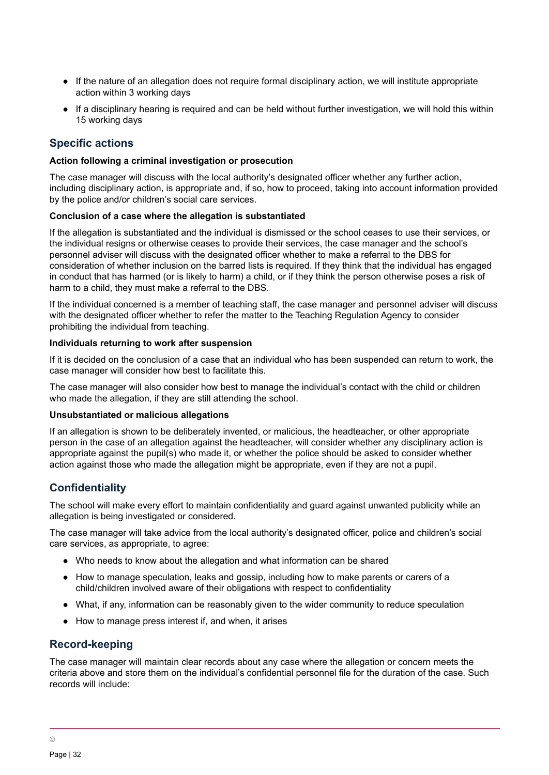- If the nature of an allegation does not require formal disciplinary action, we will institute appropriate action within 3 working days
- If a disciplinary hearing is required and can be held without further investigation, we will hold this within 15 working days

## **Specific actions**

#### **Action following a criminal investigation or prosecution**

The case manager will discuss with the local authority's designated officer whether any further action, including disciplinary action, is appropriate and, if so, how to proceed, taking into account information provided by the police and/or children's social care services.

#### **Conclusion of a case where the allegation is substantiated**

If the allegation is substantiated and the individual is dismissed or the school ceases to use their services, or the individual resigns or otherwise ceases to provide their services, the case manager and the school's personnel adviser will discuss with the designated officer whether to make a referral to the DBS for consideration of whether inclusion on the barred lists is required. If they think that the individual has engaged in conduct that has harmed (or is likely to harm) a child, or if they think the person otherwise poses a risk of harm to a child, they must make a referral to the DBS.

If the individual concerned is a member of teaching staff, the case manager and personnel adviser will discuss with the designated officer whether to refer the matter to the Teaching Regulation Agency to consider prohibiting the individual from teaching.

#### **Individuals returning to work after suspension**

If it is decided on the conclusion of a case that an individual who has been suspended can return to work, the case manager will consider how best to facilitate this.

The case manager will also consider how best to manage the individual's contact with the child or children who made the allegation, if they are still attending the school.

#### **Unsubstantiated or malicious allegations**

If an allegation is shown to be deliberately invented, or malicious, the headteacher, or other appropriate person in the case of an allegation against the headteacher, will consider whether any disciplinary action is appropriate against the pupil(s) who made it, or whether the police should be asked to consider whether action against those who made the allegation might be appropriate, even if they are not a pupil.

#### **Confidentiality**

The school will make every effort to maintain confidentiality and guard against unwanted publicity while an allegation is being investigated or considered.

The case manager will take advice from the local authority's designated officer, police and children's social care services, as appropriate, to agree:

- Who needs to know about the allegation and what information can be shared
- How to manage speculation, leaks and gossip, including how to make parents or carers of a child/children involved aware of their obligations with respect to confidentiality
- What, if any, information can be reasonably given to the wider community to reduce speculation
- How to manage press interest if, and when, it arises

#### **Record-keeping**

The case manager will maintain clear records about any case where the allegation or concern meets the criteria above and store them on the individual's confidential personnel file for the duration of the case. Such records will include: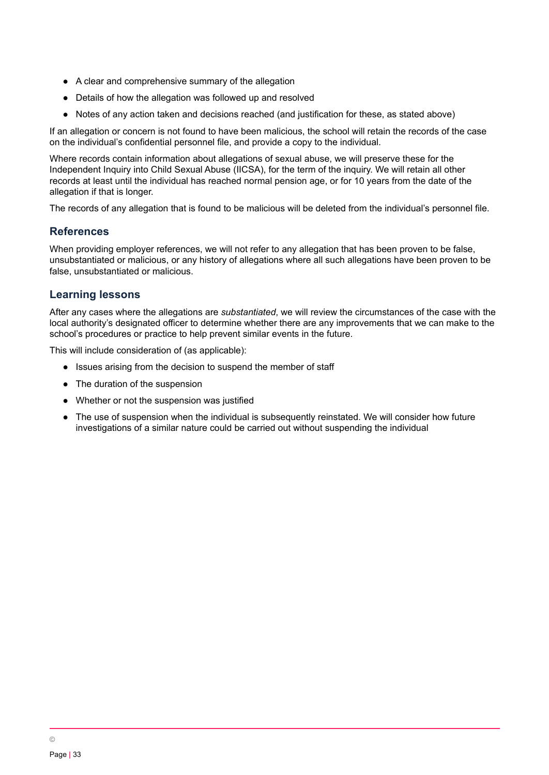- A clear and comprehensive summary of the allegation
- Details of how the allegation was followed up and resolved
- Notes of any action taken and decisions reached (and justification for these, as stated above)

If an allegation or concern is not found to have been malicious, the school will retain the records of the case on the individual's confidential personnel file, and provide a copy to the individual.

Where records contain information about allegations of sexual abuse, we will preserve these for the Independent Inquiry into Child Sexual Abuse (IICSA), for the term of the inquiry. We will retain all other records at least until the individual has reached normal pension age, or for 10 years from the date of the allegation if that is longer.

The records of any allegation that is found to be malicious will be deleted from the individual's personnel file.

#### **References**

When providing employer references, we will not refer to any allegation that has been proven to be false, unsubstantiated or malicious, or any history of allegations where all such allegations have been proven to be false, unsubstantiated or malicious.

# **Learning lessons**

After any cases where the allegations are *substantiated*, we will review the circumstances of the case with the local authority's designated officer to determine whether there are any improvements that we can make to the school's procedures or practice to help prevent similar events in the future.

This will include consideration of (as applicable):

- Issues arising from the decision to suspend the member of staff
- The duration of the suspension
- Whether or not the suspension was justified
- The use of suspension when the individual is subsequently reinstated. We will consider how future investigations of a similar nature could be carried out without suspending the individual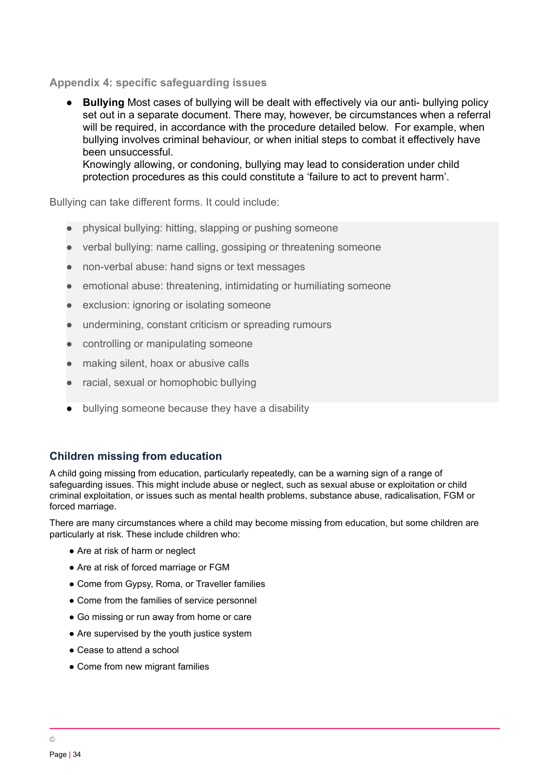## **Appendix 4: specific safeguarding issues**

● **Bullying** Most cases of bullying will be dealt with effectively via our anti- bullying policy set out in a separate document. There may, however, be circumstances when a referral will be required, in accordance with the procedure detailed below. For example, when bullying involves criminal behaviour, or when initial steps to combat it effectively have been unsuccessful. Knowingly allowing, or condoning, bullying may lead to consideration under child

protection procedures as this could constitute a 'failure to act to prevent harm'.

Bullying can take different forms. It could include:

- physical bullying: hitting, slapping or pushing someone
- verbal bullying: name calling, gossiping or threatening someone
- non-verbal abuse: hand signs or text messages
- emotional abuse: threatening, intimidating or humiliating someone
- exclusion: ignoring or isolating someone
- undermining, constant criticism or spreading rumours
- controlling or manipulating someone
- making silent, hoax or abusive calls
- racial, sexual or homophobic bullying
- bullying someone because they have a disability

# **Children missing from education**

A child going missing from education, particularly repeatedly, can be a warning sign of a range of safeguarding issues. This might include abuse or neglect, such as sexual abuse or exploitation or child criminal exploitation, or issues such as mental health problems, substance abuse, radicalisation, FGM or forced marriage.

There are many circumstances where a child may become missing from education, but some children are particularly at risk. These include children who:

- Are at risk of harm or neglect
- Are at risk of forced marriage or FGM
- Come from Gypsy, Roma, or Traveller families
- Come from the families of service personnel
- Go missing or run away from home or care
- Are supervised by the youth justice system
- Cease to attend a school
- Come from new migrant families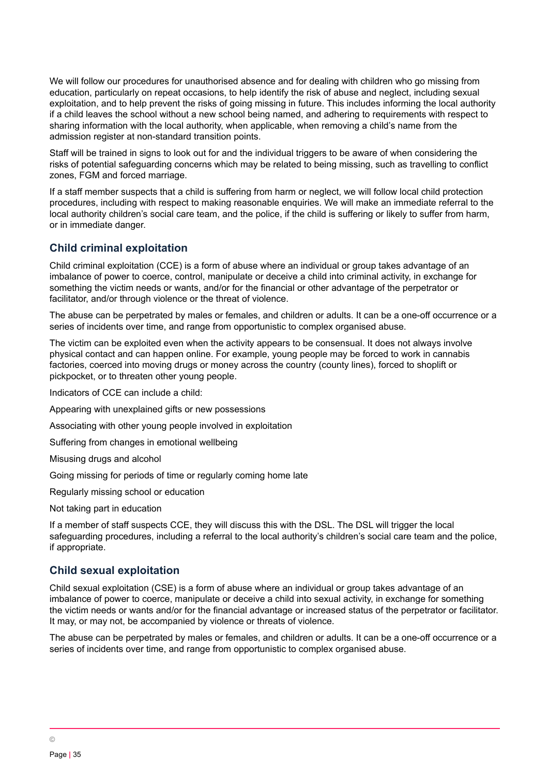We will follow our procedures for unauthorised absence and for dealing with children who go missing from education, particularly on repeat occasions, to help identify the risk of abuse and neglect, including sexual exploitation, and to help prevent the risks of going missing in future. This includes informing the local authority if a child leaves the school without a new school being named, and adhering to requirements with respect to sharing information with the local authority, when applicable, when removing a child's name from the admission register at non-standard transition points.

Staff will be trained in signs to look out for and the individual triggers to be aware of when considering the risks of potential safeguarding concerns which may be related to being missing, such as travelling to conflict zones, FGM and forced marriage.

If a staff member suspects that a child is suffering from harm or neglect, we will follow local child protection procedures, including with respect to making reasonable enquiries. We will make an immediate referral to the local authority children's social care team, and the police, if the child is suffering or likely to suffer from harm, or in immediate danger.

# **Child criminal exploitation**

Child criminal exploitation (CCE) is a form of abuse where an individual or group takes advantage of an imbalance of power to coerce, control, manipulate or deceive a child into criminal activity, in exchange for something the victim needs or wants, and/or for the financial or other advantage of the perpetrator or facilitator, and/or through violence or the threat of violence.

The abuse can be perpetrated by males or females, and children or adults. It can be a one-off occurrence or a series of incidents over time, and range from opportunistic to complex organised abuse.

The victim can be exploited even when the activity appears to be consensual. It does not always involve physical contact and can happen online. For example, young people may be forced to work in cannabis factories, coerced into moving drugs or money across the country (county lines), forced to shoplift or pickpocket, or to threaten other young people.

Indicators of CCE can include a child:

Appearing with unexplained gifts or new possessions

Associating with other young people involved in exploitation

Suffering from changes in emotional wellbeing

Misusing drugs and alcohol

Going missing for periods of time or regularly coming home late

Regularly missing school or education

Not taking part in education

If a member of staff suspects CCE, they will discuss this with the DSL. The DSL will trigger the local safeguarding procedures, including a referral to the local authority's children's social care team and the police, if appropriate.

#### **Child sexual exploitation**

Child sexual exploitation (CSE) is a form of abuse where an individual or group takes advantage of an imbalance of power to coerce, manipulate or deceive a child into sexual activity, in exchange for something the victim needs or wants and/or for the financial advantage or increased status of the perpetrator or facilitator. It may, or may not, be accompanied by violence or threats of violence.

The abuse can be perpetrated by males or females, and children or adults. It can be a one-off occurrence or a series of incidents over time, and range from opportunistic to complex organised abuse.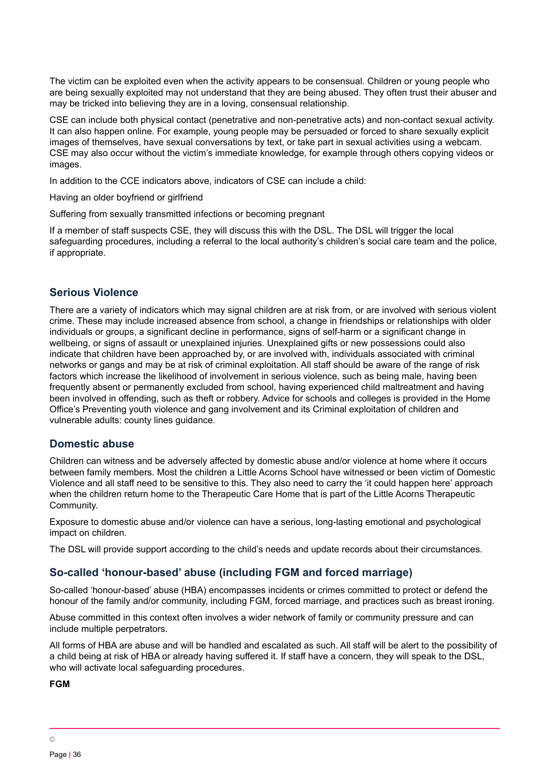The victim can be exploited even when the activity appears to be consensual. Children or young people who are being sexually exploited may not understand that they are being abused. They often trust their abuser and may be tricked into believing they are in a loving, consensual relationship.

CSE can include both physical contact (penetrative and non-penetrative acts) and non-contact sexual activity. It can also happen online. For example, young people may be persuaded or forced to share sexually explicit images of themselves, have sexual conversations by text, or take part in sexual activities using a webcam. CSE may also occur without the victim's immediate knowledge, for example through others copying videos or images.

In addition to the CCE indicators above, indicators of CSE can include a child:

Having an older boyfriend or girlfriend

Suffering from sexually transmitted infections or becoming pregnant

If a member of staff suspects CSE, they will discuss this with the DSL. The DSL will trigger the local safeguarding procedures, including a referral to the local authority's children's social care team and the police, if appropriate.

## **Serious Violence**

There are a variety of indicators which may signal children are at risk from, or are involved with serious violent crime. These may include increased absence from school, a change in friendships or relationships with older individuals or groups, a significant decline in performance, signs of self-harm or a significant change in wellbeing, or signs of assault or unexplained injuries. Unexplained gifts or new possessions could also indicate that children have been approached by, or are involved with, individuals associated with criminal networks or gangs and may be at risk of criminal exploitation. All staff should be aware of the range of risk factors which increase the likelihood of involvement in serious violence, such as being male, having been frequently absent or permanently excluded from school, having experienced child maltreatment and having been involved in offending, such as theft or robbery. Advice for schools and colleges is provided in the Home Office's Preventing youth violence and gang involvement and its Criminal exploitation of children and vulnerable adults: county lines guidance.

#### **Domestic abuse**

Children can witness and be adversely affected by domestic abuse and/or violence at home where it occurs between family members. Most the children a Little Acorns School have witnessed or been victim of Domestic Violence and all staff need to be sensitive to this. They also need to carry the 'it could happen here' approach when the children return home to the Therapeutic Care Home that is part of the Little Acorns Therapeutic Community.

Exposure to domestic abuse and/or violence can have a serious, long-lasting emotional and psychological impact on children.

The DSL will provide support according to the child's needs and update records about their circumstances.

# **So-called 'honour-based' abuse (including FGM and forced marriage)**

So-called 'honour-based' abuse (HBA) encompasses incidents or crimes committed to protect or defend the honour of the family and/or community, including FGM, forced marriage, and practices such as breast ironing.

Abuse committed in this context often involves a wider network of family or community pressure and can include multiple perpetrators.

All forms of HBA are abuse and will be handled and escalated as such. All staff will be alert to the possibility of a child being at risk of HBA or already having suffered it. If staff have a concern, they will speak to the DSL, who will activate local safeguarding procedures.

**FGM**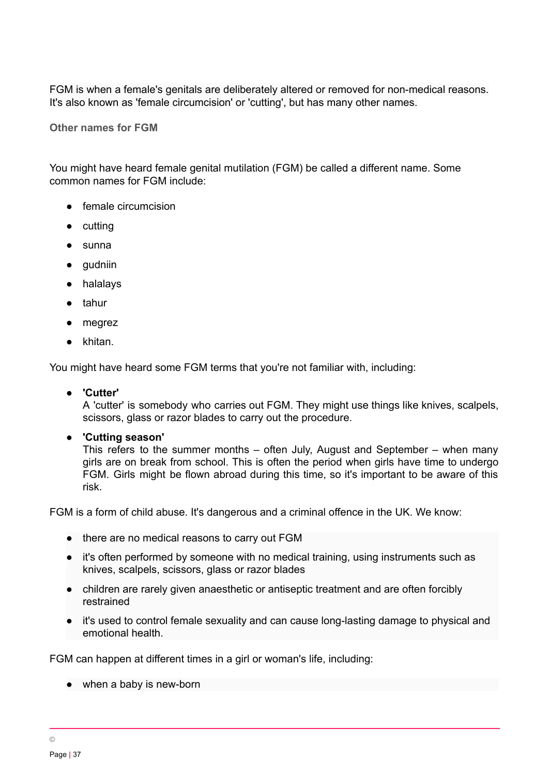FGM is when a female's genitals are deliberately altered or removed for non-medical reasons. It's also known as 'female circumcision' or 'cutting', but has many other names.

**Other [names](https://www.nspcc.org.uk/what-is-child-abuse/types-of-abuse/female-genital-mutilation-fgm/) for FGM**

You might have heard female genital mutilation (FGM) be called a different name. Some common names for FGM include:

- female circumcision
- cutting
- sunna
- gudniin
- halalays
- tahur
- megrez
- khitan.

You might have heard some FGM terms that you're not familiar with, including:

#### ● **'Cutter'**

A 'cutter' is somebody who carries out FGM. They might use things like knives, scalpels, scissors, glass or razor blades to carry out the procedure.

● **'Cutting season'**

This refers to the summer months – often July, August and September – when many girls are on break from school. This is often the period when girls have time to undergo FGM. Girls might be flown abroad during this time, so it's important to be aware of this risk.

FGM is a form of child abuse. It's dangerous and a criminal offence in the UK. We know:

- there are no medical reasons to carry out FGM
- it's often performed by someone with no medical training, using instruments such as knives, scalpels, scissors, glass or razor blades
- children are rarely given anaesthetic or antiseptic treatment and are often forcibly restrained
- it's used to control female sexuality and can cause long-lasting damage to physical and emotional health.

FGM can happen at different times in a girl or woman's life, including:

• when a baby is new-born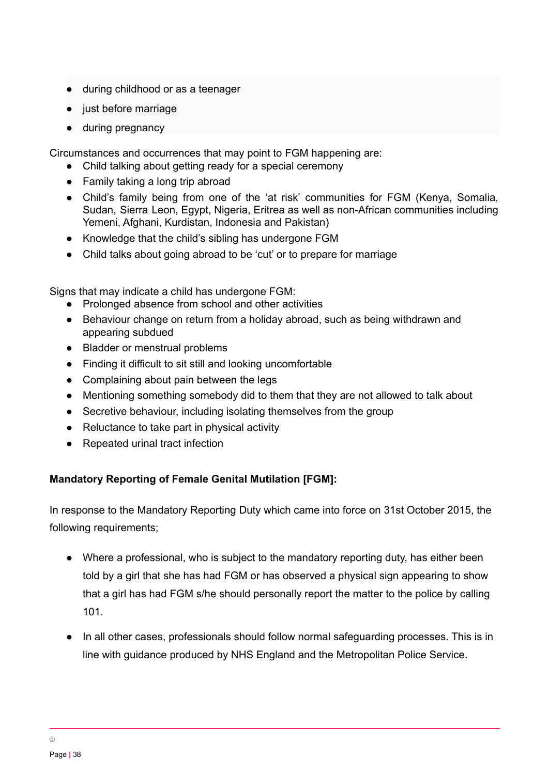- during childhood or as a teenager
- just before marriage
- during pregnancy

Circumstances and occurrences that may point to FGM happening are:

- Child talking about getting ready for a special ceremony
- Family taking a long trip abroad
- Child's family being from one of the 'at risk' communities for FGM (Kenya, Somalia, Sudan, Sierra Leon, Egypt, Nigeria, Eritrea as well as non-African communities including Yemeni, Afghani, Kurdistan, Indonesia and Pakistan)
- Knowledge that the child's sibling has undergone FGM
- Child talks about going abroad to be 'cut' or to prepare for marriage

Signs that may indicate a child has undergone FGM:

- Prolonged absence from school and other activities
- Behaviour change on return from a holiday abroad, such as being withdrawn and appearing subdued
- Bladder or menstrual problems
- Finding it difficult to sit still and looking uncomfortable
- Complaining about pain between the legs
- Mentioning something somebody did to them that they are not allowed to talk about
- Secretive behaviour, including isolating themselves from the group
- Reluctance to take part in physical activity
- Repeated urinal tract infection

# **Mandatory Reporting of Female Genital Mutilation [FGM]:**

In response to the Mandatory Reporting Duty which came into force on 31st October 2015, the following requirements;

- Where a professional, who is subject to the mandatory reporting duty, has either been told by a girl that she has had FGM or has observed a physical sign appearing to show that a girl has had FGM s/he should personally report the matter to the police by calling 101.
- In all other cases, professionals should follow normal safeguarding processes. This is in line with guidance produced by NHS England and the Metropolitan Police Service.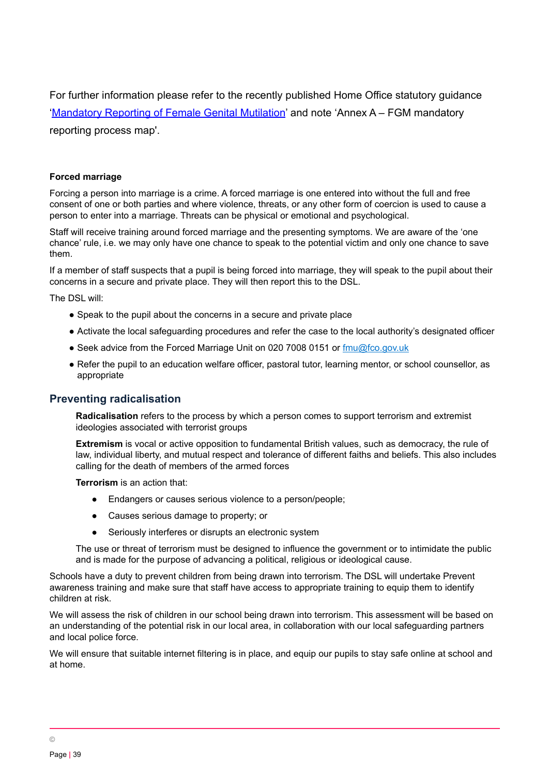For further information please refer to the recently published Home Office statutory guidance ['Mandatory](https://www.gov.uk/government/publications/mandatory-reporting-of-female-genital-mutilation-procedural-information) Reporting of Female Genital Mutilation' and note 'Annex A - FGM mandatory reporting process map'.

#### **Forced marriage**

Forcing a person into marriage is a crime. A forced marriage is one entered into without the full and free consent of one or both parties and where violence, threats, or any other form of coercion is used to cause a person to enter into a marriage. Threats can be physical or emotional and psychological.

Staff will receive training around forced marriage and the presenting symptoms. We are aware of the 'one chance' rule, i.e. we may only have one chance to speak to the potential victim and only one chance to save them.

If a member of staff suspects that a pupil is being forced into marriage, they will speak to the pupil about their concerns in a secure and private place. They will then report this to the DSL.

The DSL will:

- Speak to the pupil about the concerns in a secure and private place
- Activate the local safeguarding procedures and refer the case to the local authority's designated officer
- Seek advice from the Forced Marriage Unit on 020 7008 0151 or [fmu@fco.gov.uk](mailto:fmu@fco.gov.uk)
- Refer the pupil to an education welfare officer, pastoral tutor, learning mentor, or school counsellor, as appropriate

#### **Preventing radicalisation**

**Radicalisation** refers to the process by which a person comes to support terrorism and extremist ideologies associated with terrorist groups

**Extremism** is vocal or active opposition to fundamental British values, such as democracy, the rule of law, individual liberty, and mutual respect and tolerance of different faiths and beliefs. This also includes calling for the death of members of the armed forces

**Terrorism** is an action that:

- Endangers or causes serious violence to a person/people;
- Causes serious damage to property; or
- Seriously interferes or disrupts an electronic system

The use or threat of terrorism must be designed to influence the government or to intimidate the public and is made for the purpose of advancing a political, religious or ideological cause.

Schools have a duty to prevent children from being drawn into terrorism. The DSL will undertake Prevent awareness training and make sure that staff have access to appropriate training to equip them to identify children at risk.

We will assess the risk of children in our school being drawn into terrorism. This assessment will be based on an understanding of the potential risk in our local area, in collaboration with our local safeguarding partners and local police force.

We will ensure that suitable internet filtering is in place, and equip our pupils to stay safe online at school and at home.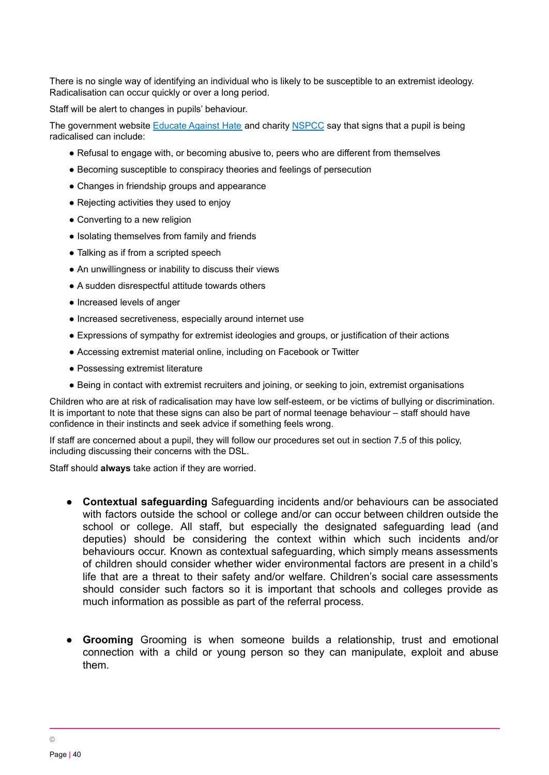There is no single way of identifying an individual who is likely to be susceptible to an extremist ideology. Radicalisation can occur quickly or over a long period.

Staff will be alert to changes in pupils' behaviour.

The government website [Educate](http://educateagainsthate.com/parents/what-are-the-warning-signs/) Against Hate and charity [NSPCC](https://www.nspcc.org.uk/what-you-can-do/report-abuse/dedicated-helplines/protecting-children-from-radicalisation/) say that signs that a pupil is being radicalised can include:

- Refusal to engage with, or becoming abusive to, peers who are different from themselves
- Becoming susceptible to conspiracy theories and feelings of persecution
- Changes in friendship groups and appearance
- Rejecting activities they used to enjoy
- Converting to a new religion
- Isolating themselves from family and friends
- Talking as if from a scripted speech
- An unwillingness or inability to discuss their views
- A sudden disrespectful attitude towards others
- Increased levels of anger
- Increased secretiveness, especially around internet use
- Expressions of sympathy for extremist ideologies and groups, or justification of their actions
- Accessing extremist material online, including on Facebook or Twitter
- Possessing extremist literature
- Being in contact with extremist recruiters and joining, or seeking to join, extremist organisations

Children who are at risk of radicalisation may have low self-esteem, or be victims of bullying or discrimination. It is important to note that these signs can also be part of normal teenage behaviour – staff should have confidence in their instincts and seek advice if something feels wrong.

If staff are concerned about a pupil, they will follow our procedures set out in section 7.5 of this policy, including discussing their concerns with the DSL.

Staff should **always** take action if they are worried.

- **Contextual safeguarding** Safeguarding incidents and/or behaviours can be associated with factors outside the school or college and/or can occur between children outside the school or college. All staff, but especially the designated safeguarding lead (and deputies) should be considering the context within which such incidents and/or behaviours occur. Known as contextual safeguarding, which simply means assessments of children should consider whether wider environmental factors are present in a child's life that are a threat to their safety and/or welfare. Children's social care assessments should consider such factors so it is important that schools and colleges provide as much information as possible as part of the referral process.
- **Grooming** Grooming is when someone builds a relationship, trust and emotional connection with a child or young person so they can manipulate, exploit and abuse them.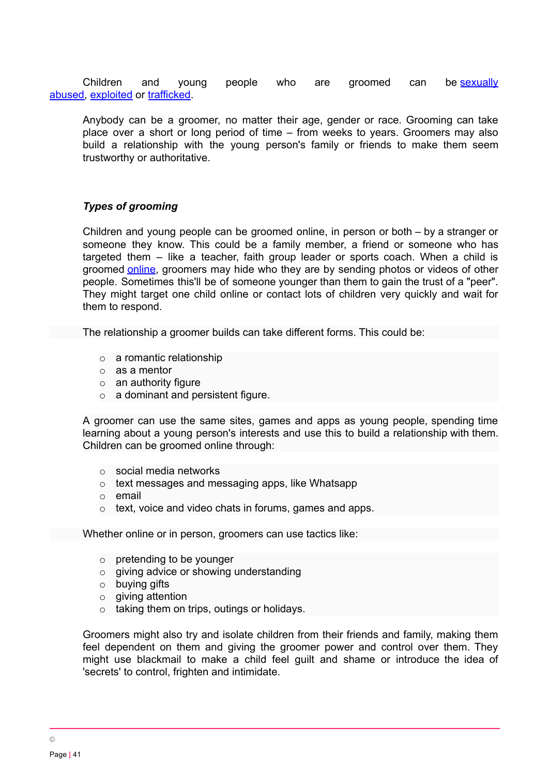Children and young people who are groomed can be [sexually](https://www.nspcc.org.uk/what-is-child-abuse/types-of-abuse/child-sexual-abuse/) [abused,](https://www.nspcc.org.uk/what-is-child-abuse/types-of-abuse/child-sexual-abuse/) [exploited](https://www.nspcc.org.uk/what-is-child-abuse/types-of-abuse/child-sexual-exploitation/) or [trafficked](https://www.nspcc.org.uk/what-is-child-abuse/types-of-abuse/child-trafficking/).

Anybody can be a groomer, no matter their age, gender or race. Grooming can take place over a short or long period of time – from weeks to years. Groomers may also build a relationship with the young person's family or friends to make them seem trustworthy or authoritative.

## *Types of grooming*

Children and young people can be groomed online, in person or both – by a stranger or someone they know. This could be a family member, a friend or someone who has targeted them – like a teacher, faith group leader or sports coach. When a child is groomed [online](https://www.nspcc.org.uk/what-is-child-abuse/types-of-abuse/online-abuse/), groomers may hide who they are by sending photos or videos of other people. Sometimes this'll be of someone younger than them to gain the trust of a "peer". They might target one child online or contact lots of children very quickly and wait for them to respond.

The relationship a groomer builds can take different forms. This could be:

- $\circ$  a romantic relationship
- o as a mentor
- $\circ$  an authority figure
- o a dominant and persistent figure.

A groomer can use the same sites, games and apps as young people, spending time learning about a young person's interests and use this to build a relationship with them. Children can be groomed online through:

- o social media networks
- o text messages and messaging apps, like Whatsapp
- o email
- o text, voice and video chats in forums, games and apps.

Whether online or in person, groomers can use tactics like:

- $\circ$  pretending to be younger
- $\circ$  giving advice or showing understanding
- o buying gifts
- o giving attention
- o taking them on trips, outings or holidays.

Groomers might also try and isolate children from their friends and family, making them feel dependent on them and giving the groomer power and control over them. They might use blackmail to make a child feel guilt and shame or introduce the idea of 'secrets' to control, frighten and intimidate.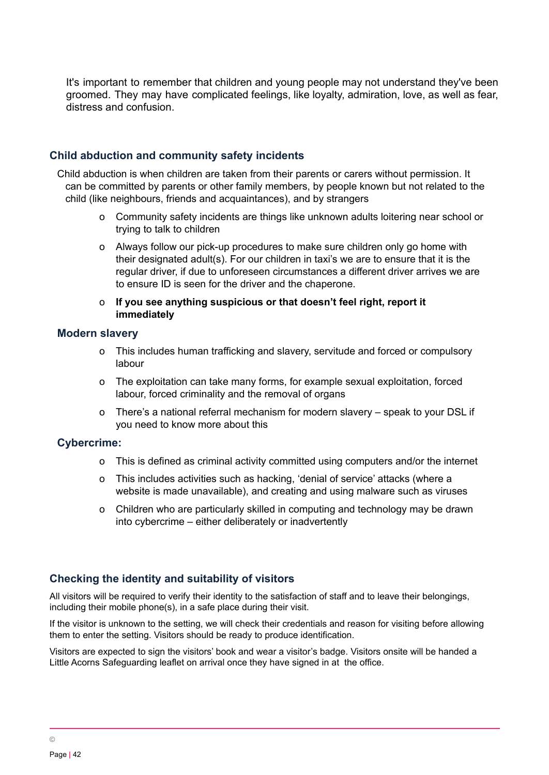It's important to remember that children and young people may not understand they've been groomed. They may have complicated feelings, like loyalty, admiration, love, as well as fear, distress and confusion.

# **Child abduction and community safety incidents**

Child abduction is when children are taken from their parents or carers without permission. It can be committed by parents or other family members, by people known but not related to the child (like neighbours, friends and acquaintances), and by strangers

- o Community safety incidents are things like unknown adults loitering near school or trying to talk to children
- o Always follow our pick-up procedures to make sure children only go home with their designated adult(s). For our children in taxi's we are to ensure that it is the regular driver, if due to unforeseen circumstances a different driver arrives we are to ensure ID is seen for the driver and the chaperone.
- o **If you see anything suspicious or that doesn't feel right, report it immediately**

#### **Modern slavery**

- o This includes human trafficking and slavery, servitude and forced or compulsory labour
- o The exploitation can take many forms, for example sexual exploitation, forced labour, forced criminality and the removal of organs
- o There's a national referral mechanism for modern slavery speak to your DSL if you need to know more about this

# **Cybercrime:**

- o This is defined as criminal activity committed using computers and/or the internet
- o This includes activities such as hacking, 'denial of service' attacks (where a website is made unavailable), and creating and using malware such as viruses
- o Children who are particularly skilled in computing and technology may be drawn into cybercrime – either deliberately or inadvertently

# **Checking the identity and suitability of visitors**

All visitors will be required to verify their identity to the satisfaction of staff and to leave their belongings, including their mobile phone(s), in a safe place during their visit.

If the visitor is unknown to the setting, we will check their credentials and reason for visiting before allowing them to enter the setting. Visitors should be ready to produce identification.

Visitors are expected to sign the visitors' book and wear a visitor's badge. Visitors onsite will be handed a Little Acorns Safeguarding leaflet on arrival once they have signed in at the office.